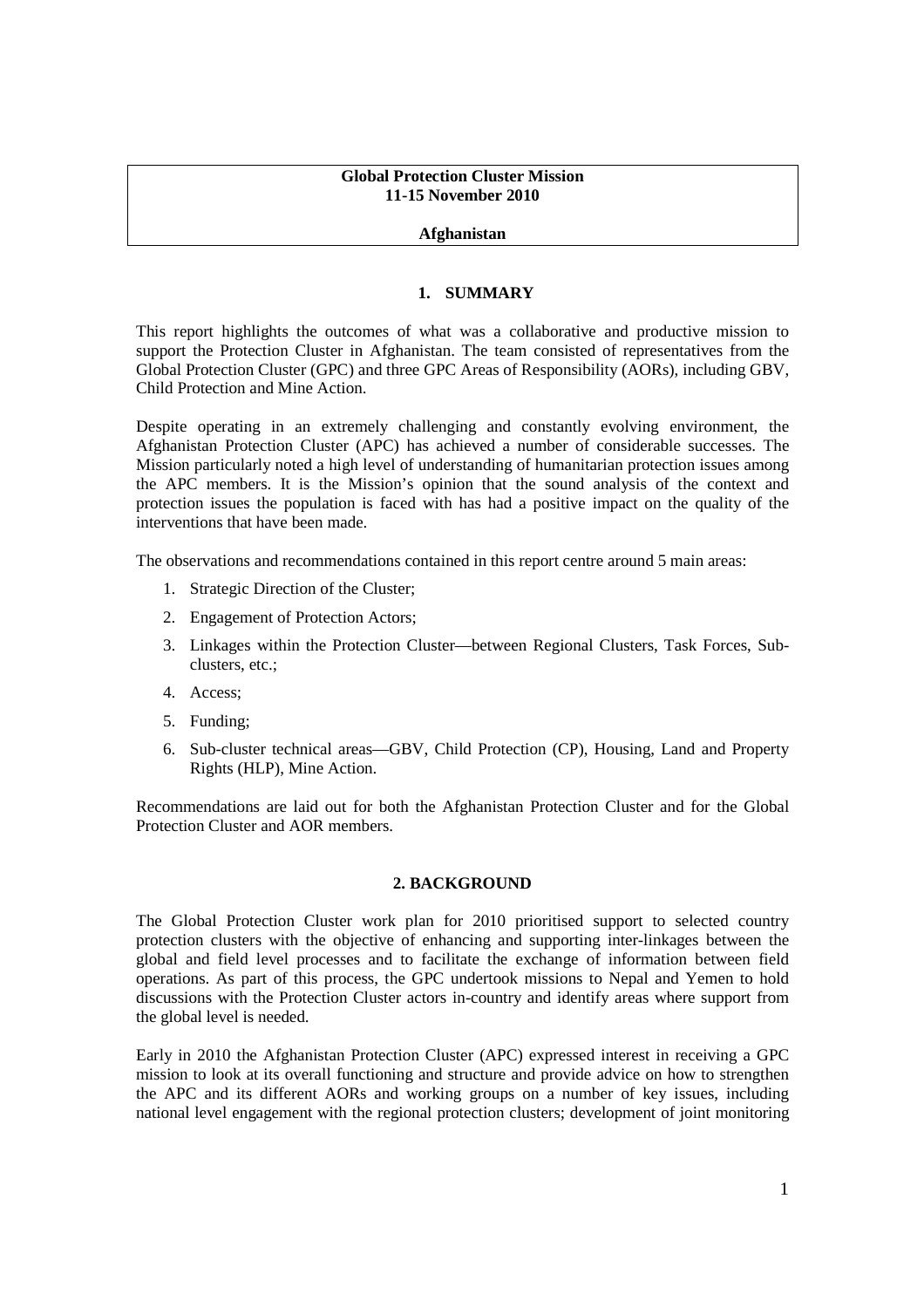### **Global Protection Cluster Mission 11-15 November 2010**

### **Afghanistan**

#### **1. SUMMARY**

This report highlights the outcomes of what was a collaborative and productive mission to support the Protection Cluster in Afghanistan. The team consisted of representatives from the Global Protection Cluster (GPC) and three GPC Areas of Responsibility (AORs), including GBV, Child Protection and Mine Action.

Despite operating in an extremely challenging and constantly evolving environment, the Afghanistan Protection Cluster (APC) has achieved a number of considerable successes. The Mission particularly noted a high level of understanding of humanitarian protection issues among the APC members. It is the Mission's opinion that the sound analysis of the context and protection issues the population is faced with has had a positive impact on the quality of the interventions that have been made.

The observations and recommendations contained in this report centre around 5 main areas:

- 1. Strategic Direction of the Cluster;
- 2. Engagement of Protection Actors;
- 3. Linkages within the Protection Cluster—between Regional Clusters, Task Forces, Subclusters, etc.;
- 4. Access;
- 5. Funding;
- 6. Sub-cluster technical areas—GBV, Child Protection (CP), Housing, Land and Property Rights (HLP), Mine Action.

Recommendations are laid out for both the Afghanistan Protection Cluster and for the Global Protection Cluster and AOR members.

#### **2. BACKGROUND**

The Global Protection Cluster work plan for 2010 prioritised support to selected country protection clusters with the objective of enhancing and supporting inter-linkages between the global and field level processes and to facilitate the exchange of information between field operations. As part of this process, the GPC undertook missions to Nepal and Yemen to hold discussions with the Protection Cluster actors in-country and identify areas where support from the global level is needed.

Early in 2010 the Afghanistan Protection Cluster (APC) expressed interest in receiving a GPC mission to look at its overall functioning and structure and provide advice on how to strengthen the APC and its different AORs and working groups on a number of key issues, including national level engagement with the regional protection clusters; development of joint monitoring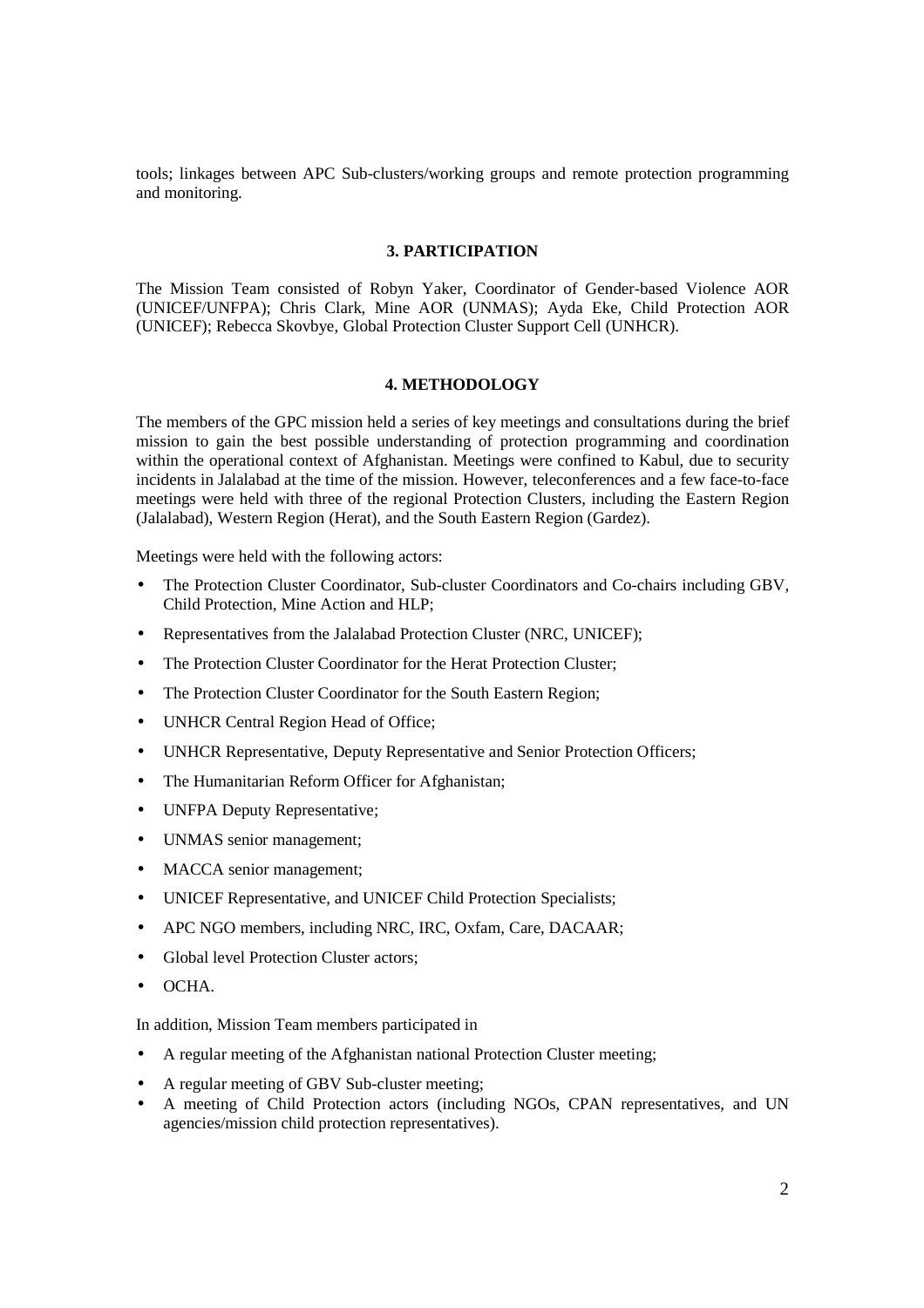tools; linkages between APC Sub-clusters/working groups and remote protection programming and monitoring.

## **3. PARTICIPATION**

The Mission Team consisted of Robyn Yaker, Coordinator of Gender-based Violence AOR (UNICEF/UNFPA); Chris Clark, Mine AOR (UNMAS); Ayda Eke, Child Protection AOR (UNICEF); Rebecca Skovbye, Global Protection Cluster Support Cell (UNHCR).

### **4. METHODOLOGY**

The members of the GPC mission held a series of key meetings and consultations during the brief mission to gain the best possible understanding of protection programming and coordination within the operational context of Afghanistan. Meetings were confined to Kabul, due to security incidents in Jalalabad at the time of the mission. However, teleconferences and a few face-to-face meetings were held with three of the regional Protection Clusters, including the Eastern Region (Jalalabad), Western Region (Herat), and the South Eastern Region (Gardez).

Meetings were held with the following actors:

- The Protection Cluster Coordinator, Sub-cluster Coordinators and Co-chairs including GBV, Child Protection, Mine Action and HLP;
- Representatives from the Jalalabad Protection Cluster (NRC, UNICEF);
- The Protection Cluster Coordinator for the Herat Protection Cluster:
- The Protection Cluster Coordinator for the South Eastern Region;
- UNHCR Central Region Head of Office;
- UNHCR Representative, Deputy Representative and Senior Protection Officers;
- The Humanitarian Reform Officer for Afghanistan:
- UNFPA Deputy Representative;
- UNMAS senior management;
- MACCA senior management;
- UNICEF Representative, and UNICEF Child Protection Specialists;
- APC NGO members, including NRC, IRC, Oxfam, Care, DACAAR;
- Global level Protection Cluster actors;
- OCHA.

In addition, Mission Team members participated in

- A regular meeting of the Afghanistan national Protection Cluster meeting;
- A regular meeting of GBV Sub-cluster meeting;
- A meeting of Child Protection actors (including NGOs, CPAN representatives, and UN agencies/mission child protection representatives).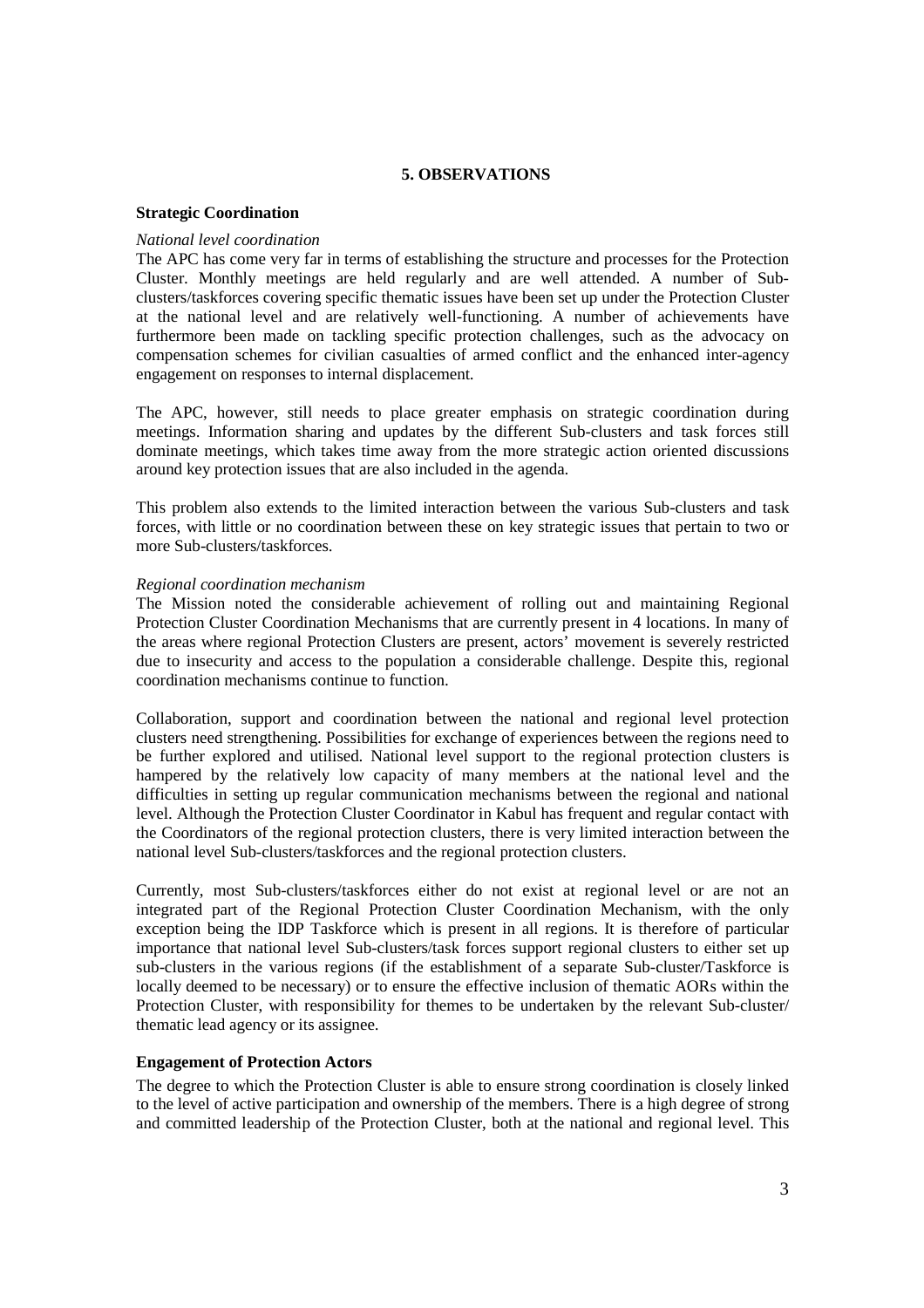## **5. OBSERVATIONS**

### **Strategic Coordination**

### *National level coordination*

The APC has come very far in terms of establishing the structure and processes for the Protection Cluster. Monthly meetings are held regularly and are well attended. A number of Subclusters/taskforces covering specific thematic issues have been set up under the Protection Cluster at the national level and are relatively well-functioning. A number of achievements have furthermore been made on tackling specific protection challenges, such as the advocacy on compensation schemes for civilian casualties of armed conflict and the enhanced inter-agency engagement on responses to internal displacement.

The APC, however, still needs to place greater emphasis on strategic coordination during meetings. Information sharing and updates by the different Sub-clusters and task forces still dominate meetings, which takes time away from the more strategic action oriented discussions around key protection issues that are also included in the agenda.

This problem also extends to the limited interaction between the various Sub-clusters and task forces, with little or no coordination between these on key strategic issues that pertain to two or more Sub-clusters/taskforces.

### *Regional coordination mechanism*

The Mission noted the considerable achievement of rolling out and maintaining Regional Protection Cluster Coordination Mechanisms that are currently present in 4 locations. In many of the areas where regional Protection Clusters are present, actors' movement is severely restricted due to insecurity and access to the population a considerable challenge. Despite this, regional coordination mechanisms continue to function.

Collaboration, support and coordination between the national and regional level protection clusters need strengthening. Possibilities for exchange of experiences between the regions need to be further explored and utilised. National level support to the regional protection clusters is hampered by the relatively low capacity of many members at the national level and the difficulties in setting up regular communication mechanisms between the regional and national level. Although the Protection Cluster Coordinator in Kabul has frequent and regular contact with the Coordinators of the regional protection clusters, there is very limited interaction between the national level Sub-clusters/taskforces and the regional protection clusters.

Currently, most Sub-clusters/taskforces either do not exist at regional level or are not an integrated part of the Regional Protection Cluster Coordination Mechanism, with the only exception being the IDP Taskforce which is present in all regions. It is therefore of particular importance that national level Sub-clusters/task forces support regional clusters to either set up sub-clusters in the various regions (if the establishment of a separate Sub-cluster/Taskforce is locally deemed to be necessary) or to ensure the effective inclusion of thematic AORs within the Protection Cluster, with responsibility for themes to be undertaken by the relevant Sub-cluster/ thematic lead agency or its assignee.

### **Engagement of Protection Actors**

The degree to which the Protection Cluster is able to ensure strong coordination is closely linked to the level of active participation and ownership of the members. There is a high degree of strong and committed leadership of the Protection Cluster, both at the national and regional level. This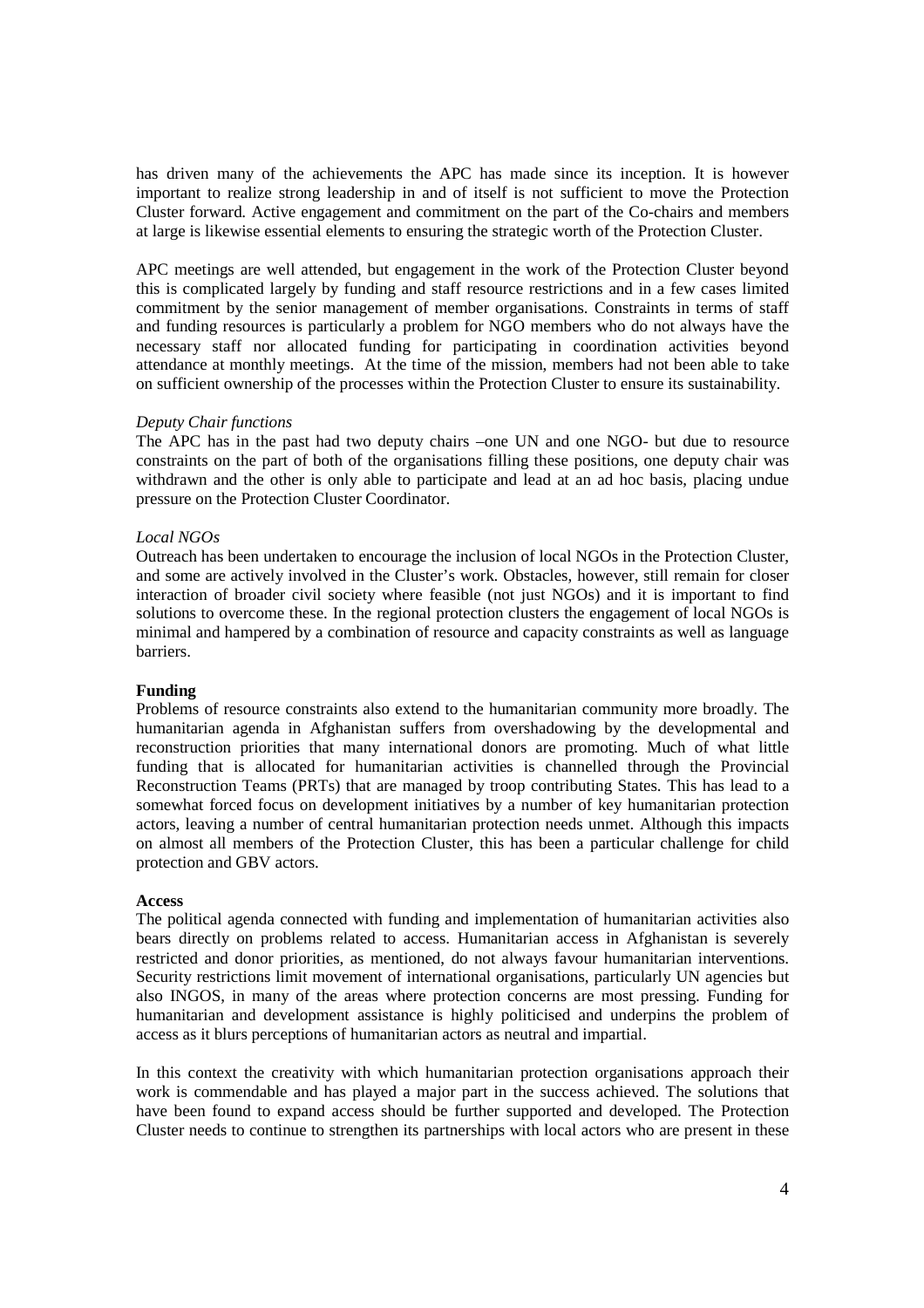has driven many of the achievements the APC has made since its inception. It is however important to realize strong leadership in and of itself is not sufficient to move the Protection Cluster forward. Active engagement and commitment on the part of the Co-chairs and members at large is likewise essential elements to ensuring the strategic worth of the Protection Cluster.

APC meetings are well attended, but engagement in the work of the Protection Cluster beyond this is complicated largely by funding and staff resource restrictions and in a few cases limited commitment by the senior management of member organisations. Constraints in terms of staff and funding resources is particularly a problem for NGO members who do not always have the necessary staff nor allocated funding for participating in coordination activities beyond attendance at monthly meetings. At the time of the mission, members had not been able to take on sufficient ownership of the processes within the Protection Cluster to ensure its sustainability.

### *Deputy Chair functions*

The APC has in the past had two deputy chairs –one UN and one NGO- but due to resource constraints on the part of both of the organisations filling these positions, one deputy chair was withdrawn and the other is only able to participate and lead at an ad hoc basis, placing undue pressure on the Protection Cluster Coordinator.

## *Local NGOs*

Outreach has been undertaken to encourage the inclusion of local NGOs in the Protection Cluster, and some are actively involved in the Cluster's work. Obstacles, however, still remain for closer interaction of broader civil society where feasible (not just NGOs) and it is important to find solutions to overcome these. In the regional protection clusters the engagement of local NGOs is minimal and hampered by a combination of resource and capacity constraints as well as language barriers.

### **Funding**

Problems of resource constraints also extend to the humanitarian community more broadly. The humanitarian agenda in Afghanistan suffers from overshadowing by the developmental and reconstruction priorities that many international donors are promoting. Much of what little funding that is allocated for humanitarian activities is channelled through the Provincial Reconstruction Teams (PRTs) that are managed by troop contributing States. This has lead to a somewhat forced focus on development initiatives by a number of key humanitarian protection actors, leaving a number of central humanitarian protection needs unmet. Although this impacts on almost all members of the Protection Cluster, this has been a particular challenge for child protection and GBV actors.

### **Access**

The political agenda connected with funding and implementation of humanitarian activities also bears directly on problems related to access. Humanitarian access in Afghanistan is severely restricted and donor priorities, as mentioned, do not always favour humanitarian interventions. Security restrictions limit movement of international organisations, particularly UN agencies but also INGOS, in many of the areas where protection concerns are most pressing. Funding for humanitarian and development assistance is highly politicised and underpins the problem of access as it blurs perceptions of humanitarian actors as neutral and impartial.

In this context the creativity with which humanitarian protection organisations approach their work is commendable and has played a major part in the success achieved. The solutions that have been found to expand access should be further supported and developed. The Protection Cluster needs to continue to strengthen its partnerships with local actors who are present in these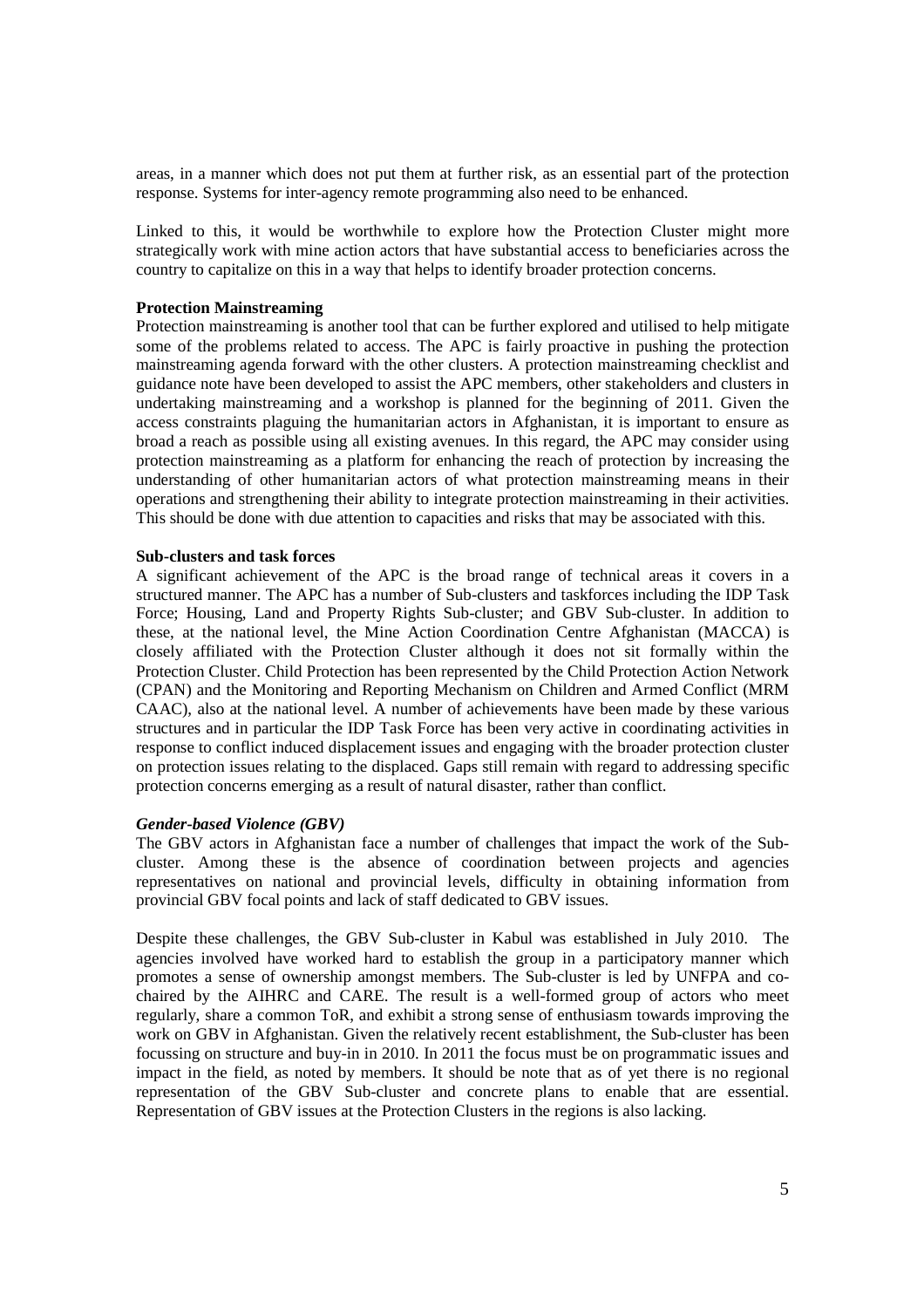areas, in a manner which does not put them at further risk, as an essential part of the protection response. Systems for inter-agency remote programming also need to be enhanced.

Linked to this, it would be worthwhile to explore how the Protection Cluster might more strategically work with mine action actors that have substantial access to beneficiaries across the country to capitalize on this in a way that helps to identify broader protection concerns.

#### **Protection Mainstreaming**

Protection mainstreaming is another tool that can be further explored and utilised to help mitigate some of the problems related to access. The APC is fairly proactive in pushing the protection mainstreaming agenda forward with the other clusters. A protection mainstreaming checklist and guidance note have been developed to assist the APC members, other stakeholders and clusters in undertaking mainstreaming and a workshop is planned for the beginning of 2011. Given the access constraints plaguing the humanitarian actors in Afghanistan, it is important to ensure as broad a reach as possible using all existing avenues. In this regard, the APC may consider using protection mainstreaming as a platform for enhancing the reach of protection by increasing the understanding of other humanitarian actors of what protection mainstreaming means in their operations and strengthening their ability to integrate protection mainstreaming in their activities. This should be done with due attention to capacities and risks that may be associated with this.

#### **Sub-clusters and task forces**

A significant achievement of the APC is the broad range of technical areas it covers in a structured manner. The APC has a number of Sub-clusters and taskforces including the IDP Task Force; Housing, Land and Property Rights Sub-cluster; and GBV Sub-cluster. In addition to these, at the national level, the Mine Action Coordination Centre Afghanistan (MACCA) is closely affiliated with the Protection Cluster although it does not sit formally within the Protection Cluster. Child Protection has been represented by the Child Protection Action Network (CPAN) and the Monitoring and Reporting Mechanism on Children and Armed Conflict (MRM CAAC), also at the national level. A number of achievements have been made by these various structures and in particular the IDP Task Force has been very active in coordinating activities in response to conflict induced displacement issues and engaging with the broader protection cluster on protection issues relating to the displaced. Gaps still remain with regard to addressing specific protection concerns emerging as a result of natural disaster, rather than conflict.

#### *Gender-based Violence (GBV)*

The GBV actors in Afghanistan face a number of challenges that impact the work of the Subcluster. Among these is the absence of coordination between projects and agencies representatives on national and provincial levels, difficulty in obtaining information from provincial GBV focal points and lack of staff dedicated to GBV issues.

Despite these challenges, the GBV Sub-cluster in Kabul was established in July 2010. The agencies involved have worked hard to establish the group in a participatory manner which promotes a sense of ownership amongst members. The Sub-cluster is led by UNFPA and cochaired by the AIHRC and CARE. The result is a well-formed group of actors who meet regularly, share a common ToR, and exhibit a strong sense of enthusiasm towards improving the work on GBV in Afghanistan. Given the relatively recent establishment, the Sub-cluster has been focussing on structure and buy-in in 2010. In 2011 the focus must be on programmatic issues and impact in the field, as noted by members. It should be note that as of yet there is no regional representation of the GBV Sub-cluster and concrete plans to enable that are essential. Representation of GBV issues at the Protection Clusters in the regions is also lacking.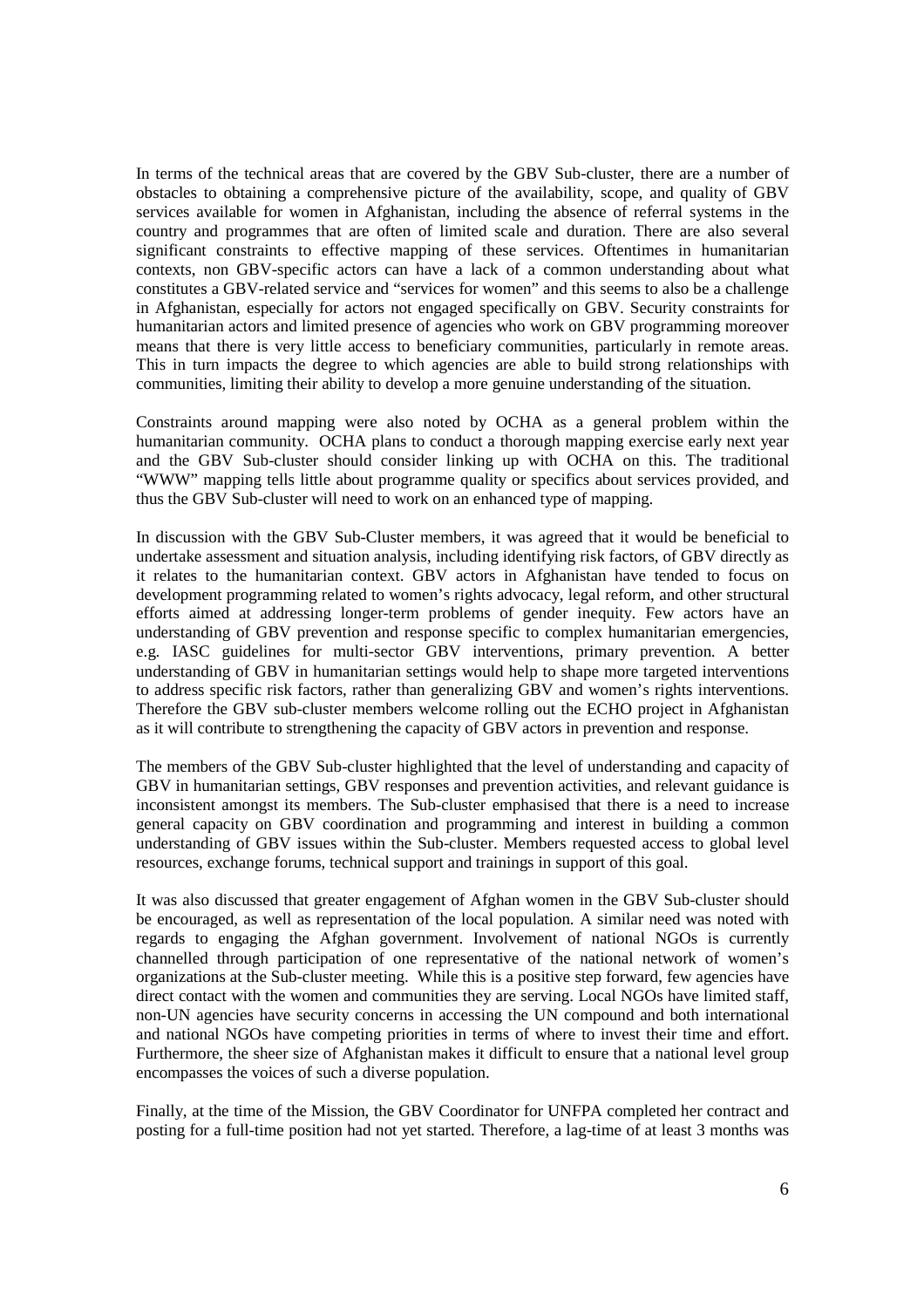In terms of the technical areas that are covered by the GBV Sub-cluster, there are a number of obstacles to obtaining a comprehensive picture of the availability, scope, and quality of GBV services available for women in Afghanistan, including the absence of referral systems in the country and programmes that are often of limited scale and duration. There are also several significant constraints to effective mapping of these services. Oftentimes in humanitarian contexts, non GBV-specific actors can have a lack of a common understanding about what constitutes a GBV-related service and "services for women" and this seems to also be a challenge in Afghanistan, especially for actors not engaged specifically on GBV. Security constraints for humanitarian actors and limited presence of agencies who work on GBV programming moreover means that there is very little access to beneficiary communities, particularly in remote areas. This in turn impacts the degree to which agencies are able to build strong relationships with communities, limiting their ability to develop a more genuine understanding of the situation.

Constraints around mapping were also noted by OCHA as a general problem within the humanitarian community. OCHA plans to conduct a thorough mapping exercise early next year and the GBV Sub-cluster should consider linking up with OCHA on this. The traditional "WWW" mapping tells little about programme quality or specifics about services provided, and thus the GBV Sub-cluster will need to work on an enhanced type of mapping.

In discussion with the GBV Sub-Cluster members, it was agreed that it would be beneficial to undertake assessment and situation analysis, including identifying risk factors, of GBV directly as it relates to the humanitarian context. GBV actors in Afghanistan have tended to focus on development programming related to women's rights advocacy, legal reform, and other structural efforts aimed at addressing longer-term problems of gender inequity. Few actors have an understanding of GBV prevention and response specific to complex humanitarian emergencies, e.g. IASC guidelines for multi-sector GBV interventions, primary prevention. A better understanding of GBV in humanitarian settings would help to shape more targeted interventions to address specific risk factors, rather than generalizing GBV and women's rights interventions. Therefore the GBV sub-cluster members welcome rolling out the ECHO project in Afghanistan as it will contribute to strengthening the capacity of GBV actors in prevention and response.

The members of the GBV Sub-cluster highlighted that the level of understanding and capacity of GBV in humanitarian settings, GBV responses and prevention activities, and relevant guidance is inconsistent amongst its members. The Sub-cluster emphasised that there is a need to increase general capacity on GBV coordination and programming and interest in building a common understanding of GBV issues within the Sub-cluster. Members requested access to global level resources, exchange forums, technical support and trainings in support of this goal.

It was also discussed that greater engagement of Afghan women in the GBV Sub-cluster should be encouraged, as well as representation of the local population. A similar need was noted with regards to engaging the Afghan government. Involvement of national NGOs is currently channelled through participation of one representative of the national network of women's organizations at the Sub-cluster meeting. While this is a positive step forward, few agencies have direct contact with the women and communities they are serving. Local NGOs have limited staff, non-UN agencies have security concerns in accessing the UN compound and both international and national NGOs have competing priorities in terms of where to invest their time and effort. Furthermore, the sheer size of Afghanistan makes it difficult to ensure that a national level group encompasses the voices of such a diverse population.

Finally, at the time of the Mission, the GBV Coordinator for UNFPA completed her contract and posting for a full-time position had not yet started. Therefore, a lag-time of at least 3 months was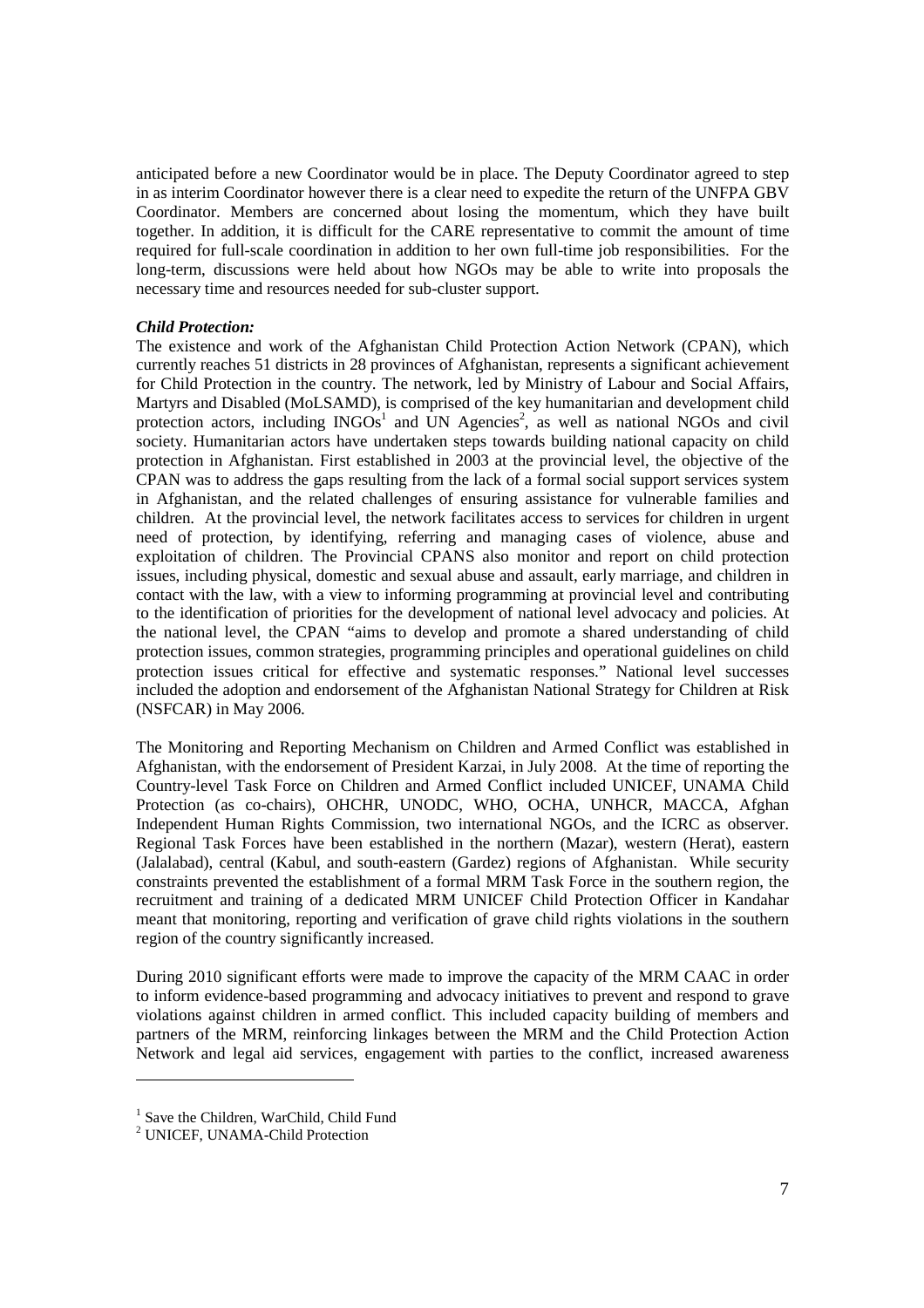anticipated before a new Coordinator would be in place. The Deputy Coordinator agreed to step in as interim Coordinator however there is a clear need to expedite the return of the UNFPA GBV Coordinator. Members are concerned about losing the momentum, which they have built together. In addition, it is difficult for the CARE representative to commit the amount of time required for full-scale coordination in addition to her own full-time job responsibilities. For the long-term, discussions were held about how NGOs may be able to write into proposals the necessary time and resources needed for sub-cluster support.

### *Child Protection:*

The existence and work of the Afghanistan Child Protection Action Network (CPAN), which currently reaches 51 districts in 28 provinces of Afghanistan, represents a significant achievement for Child Protection in the country. The network, led by Ministry of Labour and Social Affairs, Martyrs and Disabled (MoLSAMD), is comprised of the key humanitarian and development child protection actors, including  $INGOs<sup>1</sup>$  and UN Agencies<sup>2</sup>, as well as national NGOs and civil society. Humanitarian actors have undertaken steps towards building national capacity on child protection in Afghanistan. First established in 2003 at the provincial level, the objective of the CPAN was to address the gaps resulting from the lack of a formal social support services system in Afghanistan, and the related challenges of ensuring assistance for vulnerable families and children. At the provincial level, the network facilitates access to services for children in urgent need of protection, by identifying, referring and managing cases of violence, abuse and exploitation of children. The Provincial CPANS also monitor and report on child protection issues, including physical, domestic and sexual abuse and assault, early marriage, and children in contact with the law, with a view to informing programming at provincial level and contributing to the identification of priorities for the development of national level advocacy and policies. At the national level, the CPAN "aims to develop and promote a shared understanding of child protection issues, common strategies, programming principles and operational guidelines on child protection issues critical for effective and systematic responses." National level successes included the adoption and endorsement of the Afghanistan National Strategy for Children at Risk (NSFCAR) in May 2006.

The Monitoring and Reporting Mechanism on Children and Armed Conflict was established in Afghanistan, with the endorsement of President Karzai, in July 2008. At the time of reporting the Country-level Task Force on Children and Armed Conflict included UNICEF, UNAMA Child Protection (as co-chairs), OHCHR, UNODC, WHO, OCHA, UNHCR, MACCA, Afghan Independent Human Rights Commission, two international NGOs, and the ICRC as observer. Regional Task Forces have been established in the northern (Mazar), western (Herat), eastern (Jalalabad), central (Kabul, and south-eastern (Gardez) regions of Afghanistan. While security constraints prevented the establishment of a formal MRM Task Force in the southern region, the recruitment and training of a dedicated MRM UNICEF Child Protection Officer in Kandahar meant that monitoring, reporting and verification of grave child rights violations in the southern region of the country significantly increased.

During 2010 significant efforts were made to improve the capacity of the MRM CAAC in order to inform evidence-based programming and advocacy initiatives to prevent and respond to grave violations against children in armed conflict. This included capacity building of members and partners of the MRM, reinforcing linkages between the MRM and the Child Protection Action Network and legal aid services, engagement with parties to the conflict, increased awareness

-

<sup>&</sup>lt;sup>1</sup> Save the Children, WarChild, Child Fund

<sup>&</sup>lt;sup>2</sup> UNICEF, UNAMA-Child Protection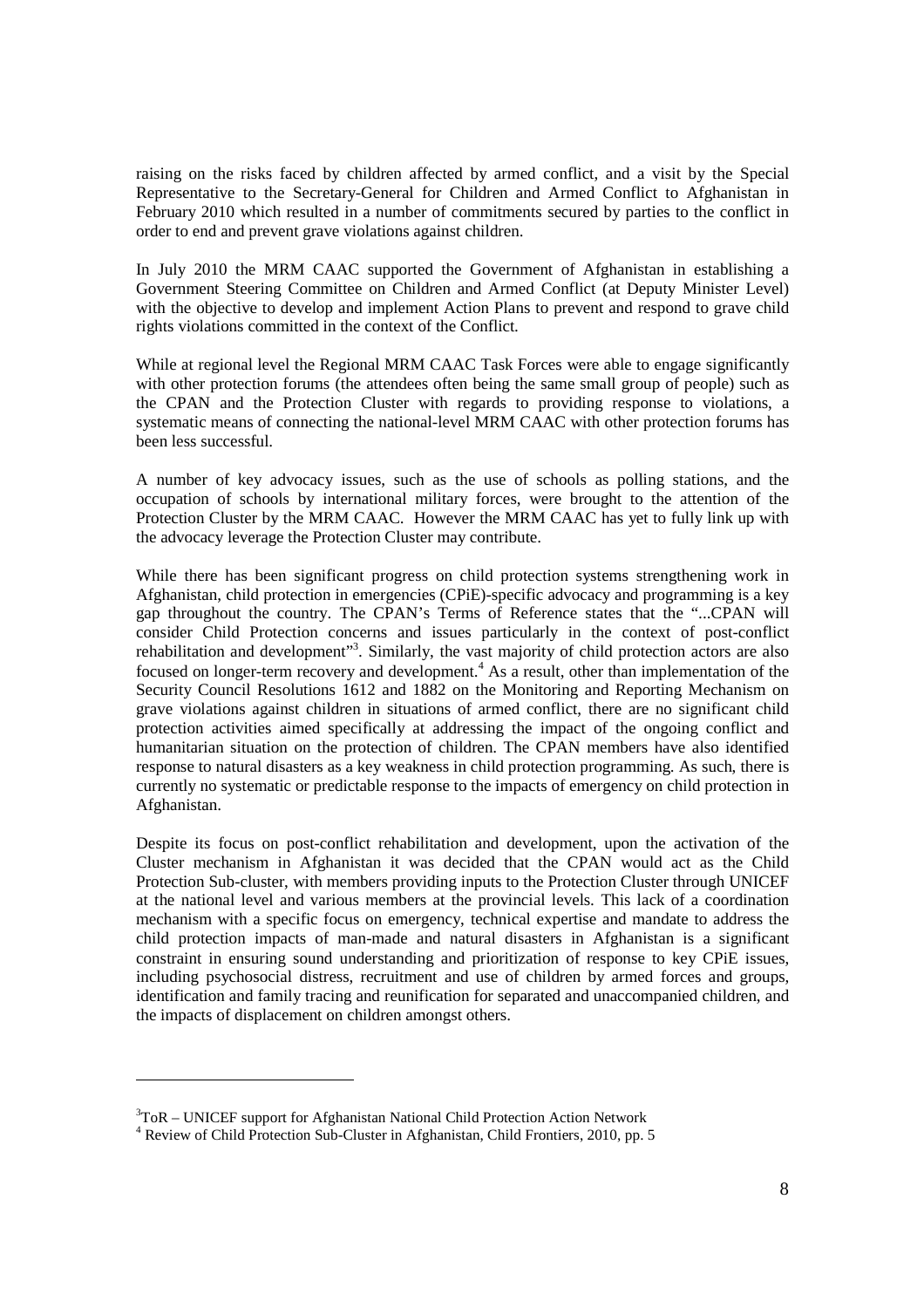raising on the risks faced by children affected by armed conflict, and a visit by the Special Representative to the Secretary-General for Children and Armed Conflict to Afghanistan in February 2010 which resulted in a number of commitments secured by parties to the conflict in order to end and prevent grave violations against children.

In July 2010 the MRM CAAC supported the Government of Afghanistan in establishing a Government Steering Committee on Children and Armed Conflict (at Deputy Minister Level) with the objective to develop and implement Action Plans to prevent and respond to grave child rights violations committed in the context of the Conflict.

While at regional level the Regional MRM CAAC Task Forces were able to engage significantly with other protection forums (the attendees often being the same small group of people) such as the CPAN and the Protection Cluster with regards to providing response to violations, a systematic means of connecting the national-level MRM CAAC with other protection forums has been less successful.

A number of key advocacy issues, such as the use of schools as polling stations, and the occupation of schools by international military forces, were brought to the attention of the Protection Cluster by the MRM CAAC. However the MRM CAAC has yet to fully link up with the advocacy leverage the Protection Cluster may contribute.

While there has been significant progress on child protection systems strengthening work in Afghanistan, child protection in emergencies (CPiE)-specific advocacy and programming is a key gap throughout the country. The CPAN's Terms of Reference states that the "...CPAN will consider Child Protection concerns and issues particularly in the context of post-conflict rehabilitation and development"<sup>3</sup>. Similarly, the vast majority of child protection actors are also focused on longer-term recovery and development.<sup>4</sup> As a result, other than implementation of the Security Council Resolutions 1612 and 1882 on the Monitoring and Reporting Mechanism on grave violations against children in situations of armed conflict, there are no significant child protection activities aimed specifically at addressing the impact of the ongoing conflict and humanitarian situation on the protection of children. The CPAN members have also identified response to natural disasters as a key weakness in child protection programming. As such, there is currently no systematic or predictable response to the impacts of emergency on child protection in Afghanistan.

Despite its focus on post-conflict rehabilitation and development, upon the activation of the Cluster mechanism in Afghanistan it was decided that the CPAN would act as the Child Protection Sub-cluster, with members providing inputs to the Protection Cluster through UNICEF at the national level and various members at the provincial levels. This lack of a coordination mechanism with a specific focus on emergency, technical expertise and mandate to address the child protection impacts of man-made and natural disasters in Afghanistan is a significant constraint in ensuring sound understanding and prioritization of response to key CPiE issues, including psychosocial distress, recruitment and use of children by armed forces and groups, identification and family tracing and reunification for separated and unaccompanied children, and the impacts of displacement on children amongst others.

-

 $3TOR - UNICEF$  support for Afghanistan National Child Protection Action Network

<sup>&</sup>lt;sup>4</sup> Review of Child Protection Sub-Cluster in Afghanistan, Child Frontiers, 2010, pp. 5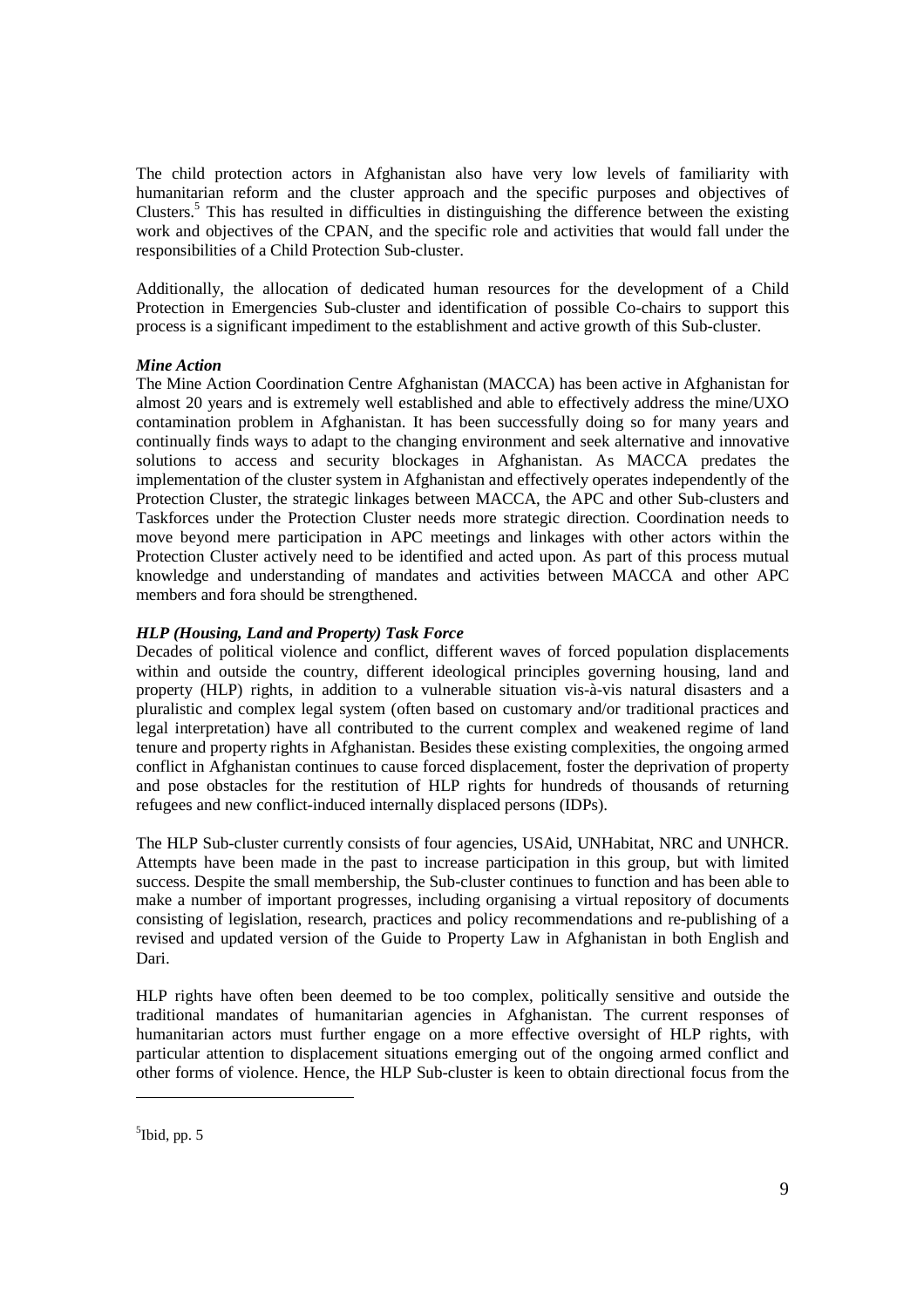The child protection actors in Afghanistan also have very low levels of familiarity with humanitarian reform and the cluster approach and the specific purposes and objectives of Clusters.<sup>5</sup> This has resulted in difficulties in distinguishing the difference between the existing work and objectives of the CPAN, and the specific role and activities that would fall under the responsibilities of a Child Protection Sub-cluster.

Additionally, the allocation of dedicated human resources for the development of a Child Protection in Emergencies Sub-cluster and identification of possible Co-chairs to support this process is a significant impediment to the establishment and active growth of this Sub-cluster.

## *Mine Action*

The Mine Action Coordination Centre Afghanistan (MACCA) has been active in Afghanistan for almost 20 years and is extremely well established and able to effectively address the mine/UXO contamination problem in Afghanistan. It has been successfully doing so for many years and continually finds ways to adapt to the changing environment and seek alternative and innovative solutions to access and security blockages in Afghanistan. As MACCA predates the implementation of the cluster system in Afghanistan and effectively operates independently of the Protection Cluster, the strategic linkages between MACCA, the APC and other Sub-clusters and Taskforces under the Protection Cluster needs more strategic direction. Coordination needs to move beyond mere participation in APC meetings and linkages with other actors within the Protection Cluster actively need to be identified and acted upon. As part of this process mutual knowledge and understanding of mandates and activities between MACCA and other APC members and fora should be strengthened.

## *HLP (Housing, Land and Property) Task Force*

Decades of political violence and conflict, different waves of forced population displacements within and outside the country, different ideological principles governing housing, land and property (HLP) rights, in addition to a vulnerable situation vis-à-vis natural disasters and a pluralistic and complex legal system (often based on customary and/or traditional practices and legal interpretation) have all contributed to the current complex and weakened regime of land tenure and property rights in Afghanistan. Besides these existing complexities, the ongoing armed conflict in Afghanistan continues to cause forced displacement, foster the deprivation of property and pose obstacles for the restitution of HLP rights for hundreds of thousands of returning refugees and new conflict-induced internally displaced persons (IDPs).

The HLP Sub-cluster currently consists of four agencies, USAid, UNHabitat, NRC and UNHCR. Attempts have been made in the past to increase participation in this group, but with limited success. Despite the small membership, the Sub-cluster continues to function and has been able to make a number of important progresses, including organising a virtual repository of documents consisting of legislation, research, practices and policy recommendations and re-publishing of a revised and updated version of the Guide to Property Law in Afghanistan in both English and Dari.

HLP rights have often been deemed to be too complex, politically sensitive and outside the traditional mandates of humanitarian agencies in Afghanistan. The current responses of humanitarian actors must further engage on a more effective oversight of HLP rights, with particular attention to displacement situations emerging out of the ongoing armed conflict and other forms of violence. Hence, the HLP Sub-cluster is keen to obtain directional focus from the

<u>.</u>

 $<sup>5</sup>$ Ibid, pp. 5</sup>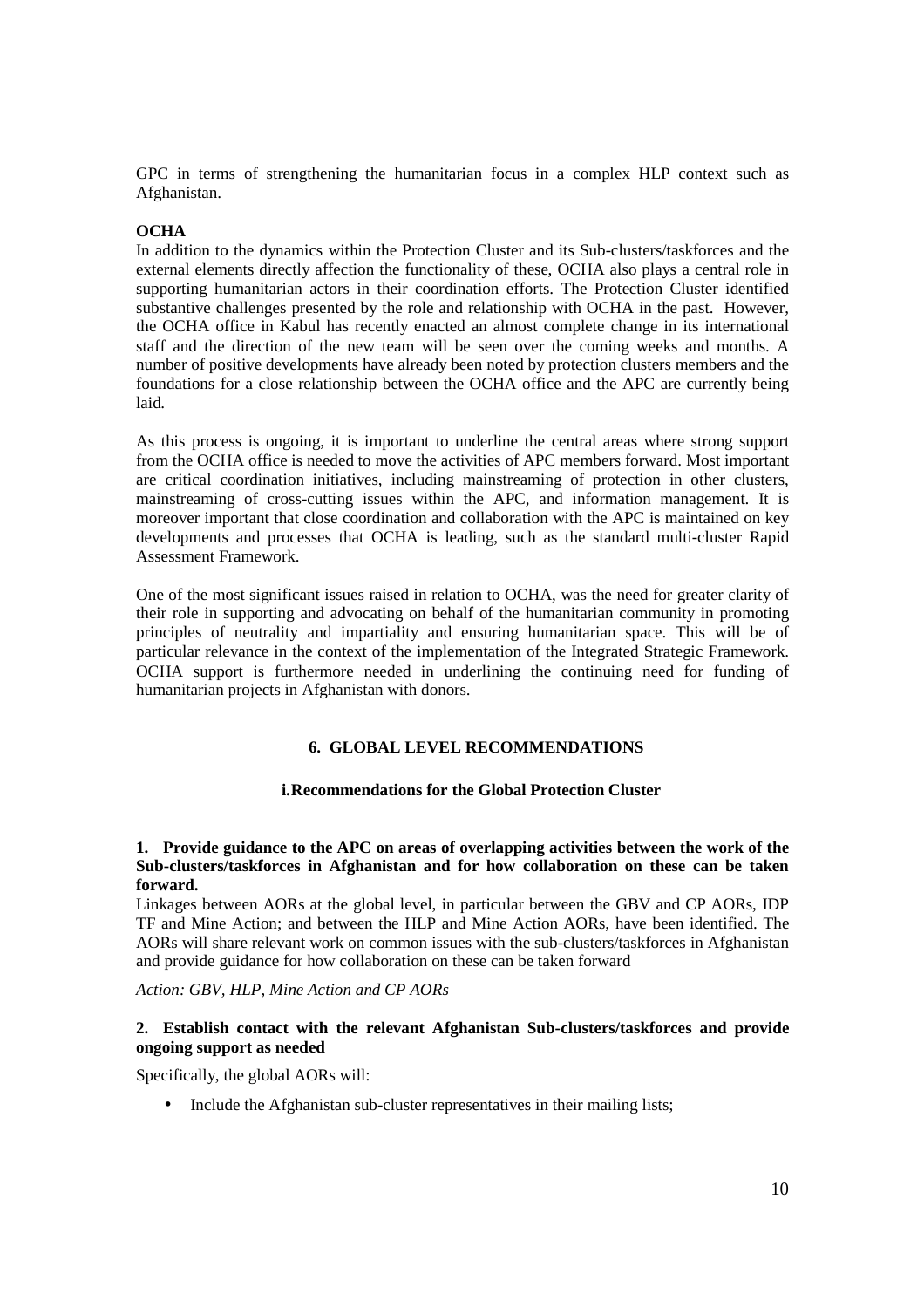GPC in terms of strengthening the humanitarian focus in a complex HLP context such as Afghanistan.

## **OCHA**

In addition to the dynamics within the Protection Cluster and its Sub-clusters/taskforces and the external elements directly affection the functionality of these, OCHA also plays a central role in supporting humanitarian actors in their coordination efforts. The Protection Cluster identified substantive challenges presented by the role and relationship with OCHA in the past. However, the OCHA office in Kabul has recently enacted an almost complete change in its international staff and the direction of the new team will be seen over the coming weeks and months. A number of positive developments have already been noted by protection clusters members and the foundations for a close relationship between the OCHA office and the APC are currently being laid.

As this process is ongoing, it is important to underline the central areas where strong support from the OCHA office is needed to move the activities of APC members forward. Most important are critical coordination initiatives, including mainstreaming of protection in other clusters, mainstreaming of cross-cutting issues within the APC, and information management. It is moreover important that close coordination and collaboration with the APC is maintained on key developments and processes that OCHA is leading, such as the standard multi-cluster Rapid Assessment Framework.

One of the most significant issues raised in relation to OCHA, was the need for greater clarity of their role in supporting and advocating on behalf of the humanitarian community in promoting principles of neutrality and impartiality and ensuring humanitarian space. This will be of particular relevance in the context of the implementation of the Integrated Strategic Framework. OCHA support is furthermore needed in underlining the continuing need for funding of humanitarian projects in Afghanistan with donors.

## **6. GLOBAL LEVEL RECOMMENDATIONS**

### **i.Recommendations for the Global Protection Cluster**

## **1. Provide guidance to the APC on areas of overlapping activities between the work of the Sub-clusters/taskforces in Afghanistan and for how collaboration on these can be taken forward.**

Linkages between AORs at the global level, in particular between the GBV and CP AORs, IDP TF and Mine Action; and between the HLP and Mine Action AORs, have been identified. The AORs will share relevant work on common issues with the sub-clusters/taskforces in Afghanistan and provide guidance for how collaboration on these can be taken forward

*Action: GBV, HLP, Mine Action and CP AORs* 

## **2. Establish contact with the relevant Afghanistan Sub-clusters/taskforces and provide ongoing support as needed**

Specifically, the global AORs will:

• Include the Afghanistan sub-cluster representatives in their mailing lists;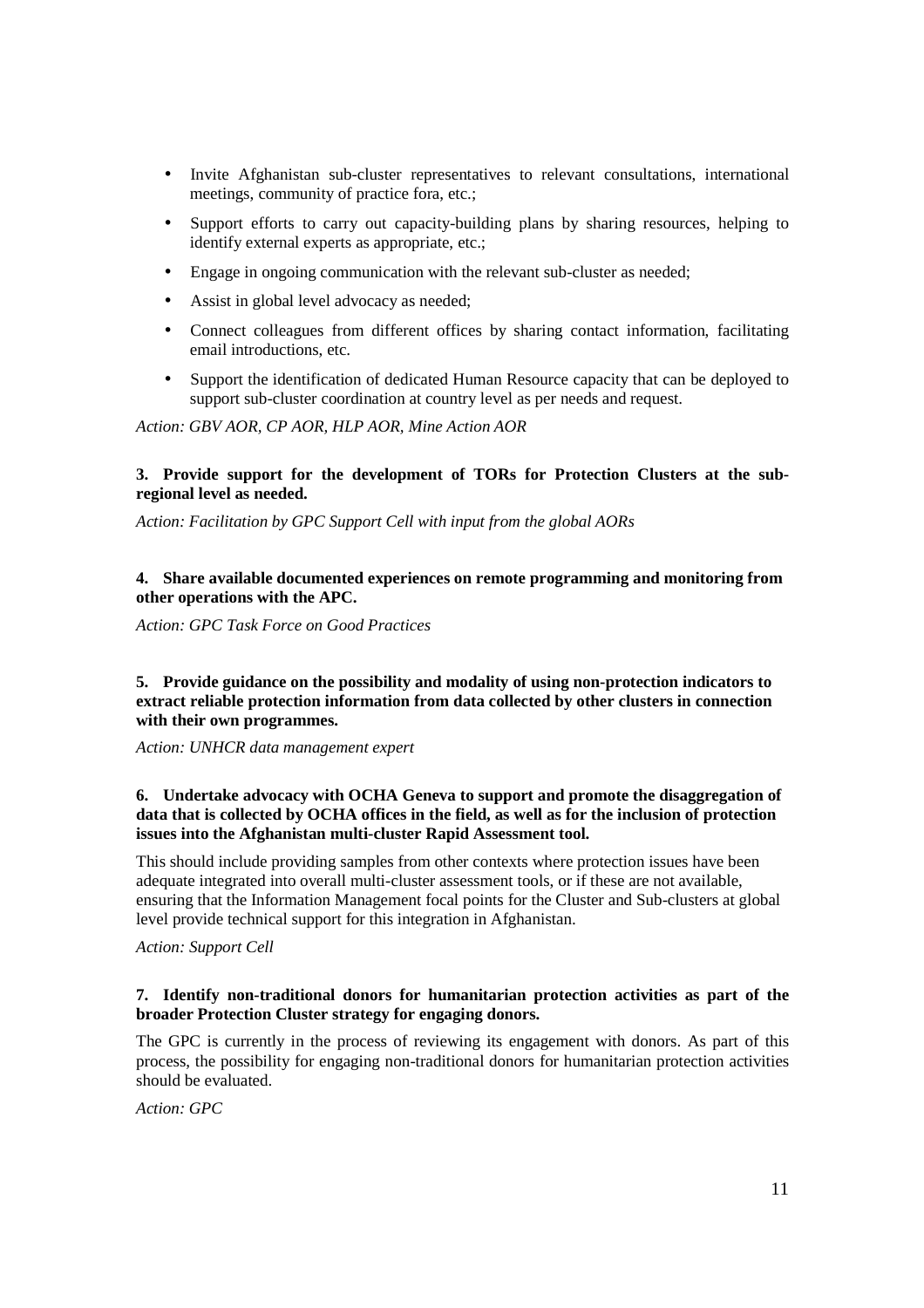- Invite Afghanistan sub-cluster representatives to relevant consultations, international meetings, community of practice fora, etc.;
- Support efforts to carry out capacity-building plans by sharing resources, helping to identify external experts as appropriate, etc.;
- Engage in ongoing communication with the relevant sub-cluster as needed;
- Assist in global level advocacy as needed;
- Connect colleagues from different offices by sharing contact information, facilitating email introductions, etc.
- Support the identification of dedicated Human Resource capacity that can be deployed to support sub-cluster coordination at country level as per needs and request.

*Action: GBV AOR, CP AOR, HLP AOR, Mine Action AOR* 

## **3. Provide support for the development of TORs for Protection Clusters at the subregional level as needed.**

*Action: Facilitation by GPC Support Cell with input from the global AORs* 

## **4. Share available documented experiences on remote programming and monitoring from other operations with the APC.**

*Action: GPC Task Force on Good Practices* 

### **5. Provide guidance on the possibility and modality of using non-protection indicators to extract reliable protection information from data collected by other clusters in connection with their own programmes.**

*Action: UNHCR data management expert* 

# **6. Undertake advocacy with OCHA Geneva to support and promote the disaggregation of data that is collected by OCHA offices in the field, as well as for the inclusion of protection issues into the Afghanistan multi-cluster Rapid Assessment tool.**

This should include providing samples from other contexts where protection issues have been adequate integrated into overall multi-cluster assessment tools, or if these are not available, ensuring that the Information Management focal points for the Cluster and Sub-clusters at global level provide technical support for this integration in Afghanistan.

*Action: Support Cell* 

## **7. Identify non-traditional donors for humanitarian protection activities as part of the broader Protection Cluster strategy for engaging donors.**

The GPC is currently in the process of reviewing its engagement with donors. As part of this process, the possibility for engaging non-traditional donors for humanitarian protection activities should be evaluated.

*Action: GPC*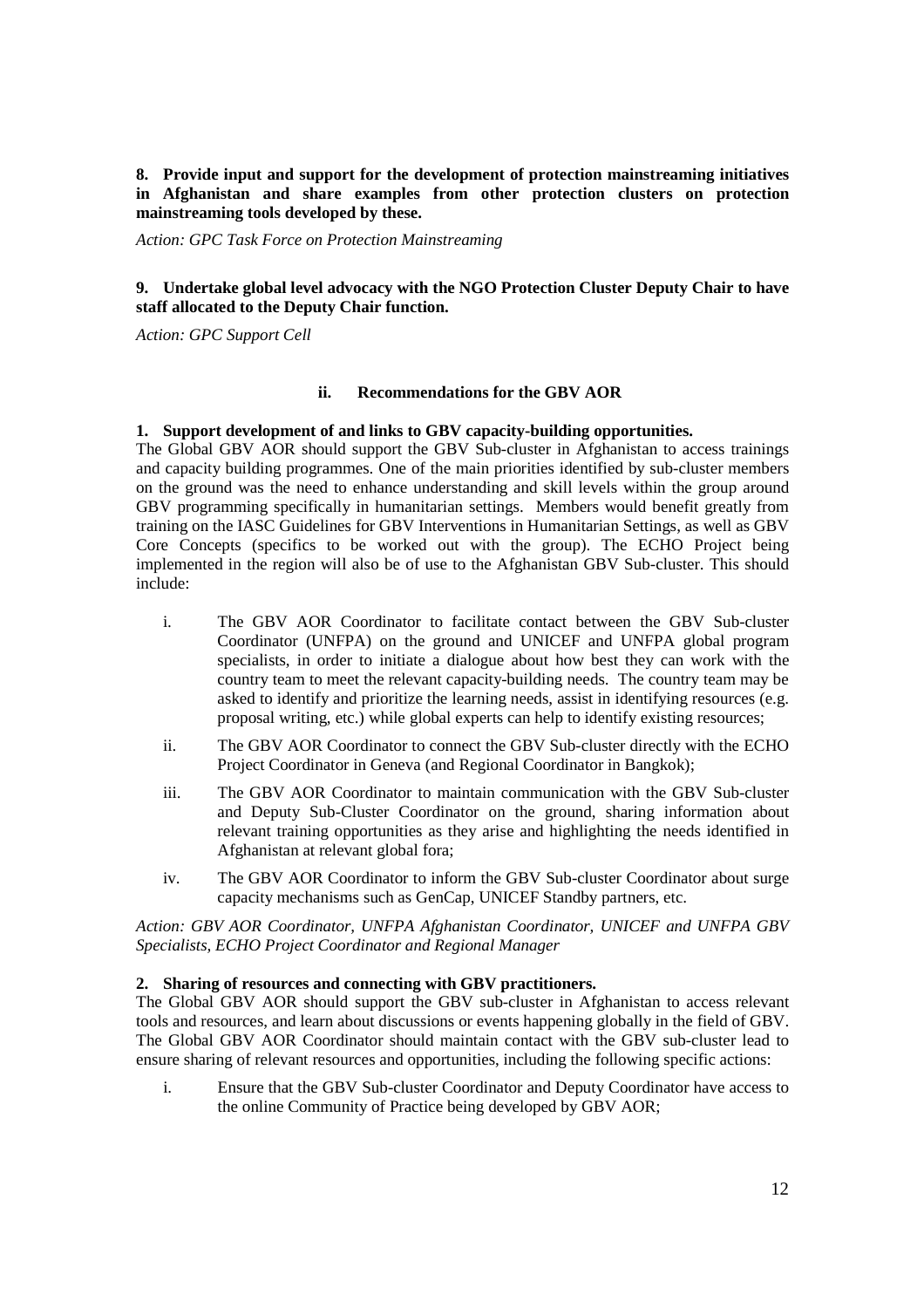**8. Provide input and support for the development of protection mainstreaming initiatives in Afghanistan and share examples from other protection clusters on protection mainstreaming tools developed by these.** 

*Action: GPC Task Force on Protection Mainstreaming* 

## **9. Undertake global level advocacy with the NGO Protection Cluster Deputy Chair to have staff allocated to the Deputy Chair function.**

*Action: GPC Support Cell* 

## **ii. Recommendations for the GBV AOR**

## **1. Support development of and links to GBV capacity-building opportunities.**

The Global GBV AOR should support the GBV Sub-cluster in Afghanistan to access trainings and capacity building programmes. One of the main priorities identified by sub-cluster members on the ground was the need to enhance understanding and skill levels within the group around GBV programming specifically in humanitarian settings. Members would benefit greatly from training on the IASC Guidelines for GBV Interventions in Humanitarian Settings, as well as GBV Core Concepts (specifics to be worked out with the group). The ECHO Project being implemented in the region will also be of use to the Afghanistan GBV Sub-cluster. This should include:

- i. The GBV AOR Coordinator to facilitate contact between the GBV Sub-cluster Coordinator (UNFPA) on the ground and UNICEF and UNFPA global program specialists, in order to initiate a dialogue about how best they can work with the country team to meet the relevant capacity-building needs. The country team may be asked to identify and prioritize the learning needs, assist in identifying resources (e.g. proposal writing, etc.) while global experts can help to identify existing resources;
- ii. The GBV AOR Coordinator to connect the GBV Sub-cluster directly with the ECHO Project Coordinator in Geneva (and Regional Coordinator in Bangkok);
- iii. The GBV AOR Coordinator to maintain communication with the GBV Sub-cluster and Deputy Sub-Cluster Coordinator on the ground, sharing information about relevant training opportunities as they arise and highlighting the needs identified in Afghanistan at relevant global fora;
- iv. The GBV AOR Coordinator to inform the GBV Sub-cluster Coordinator about surge capacity mechanisms such as GenCap, UNICEF Standby partners, etc.

*Action: GBV AOR Coordinator, UNFPA Afghanistan Coordinator, UNICEF and UNFPA GBV Specialists, ECHO Project Coordinator and Regional Manager* 

## **2. Sharing of resources and connecting with GBV practitioners.**

The Global GBV AOR should support the GBV sub-cluster in Afghanistan to access relevant tools and resources, and learn about discussions or events happening globally in the field of GBV. The Global GBV AOR Coordinator should maintain contact with the GBV sub-cluster lead to ensure sharing of relevant resources and opportunities, including the following specific actions:

i. Ensure that the GBV Sub-cluster Coordinator and Deputy Coordinator have access to the online Community of Practice being developed by GBV AOR;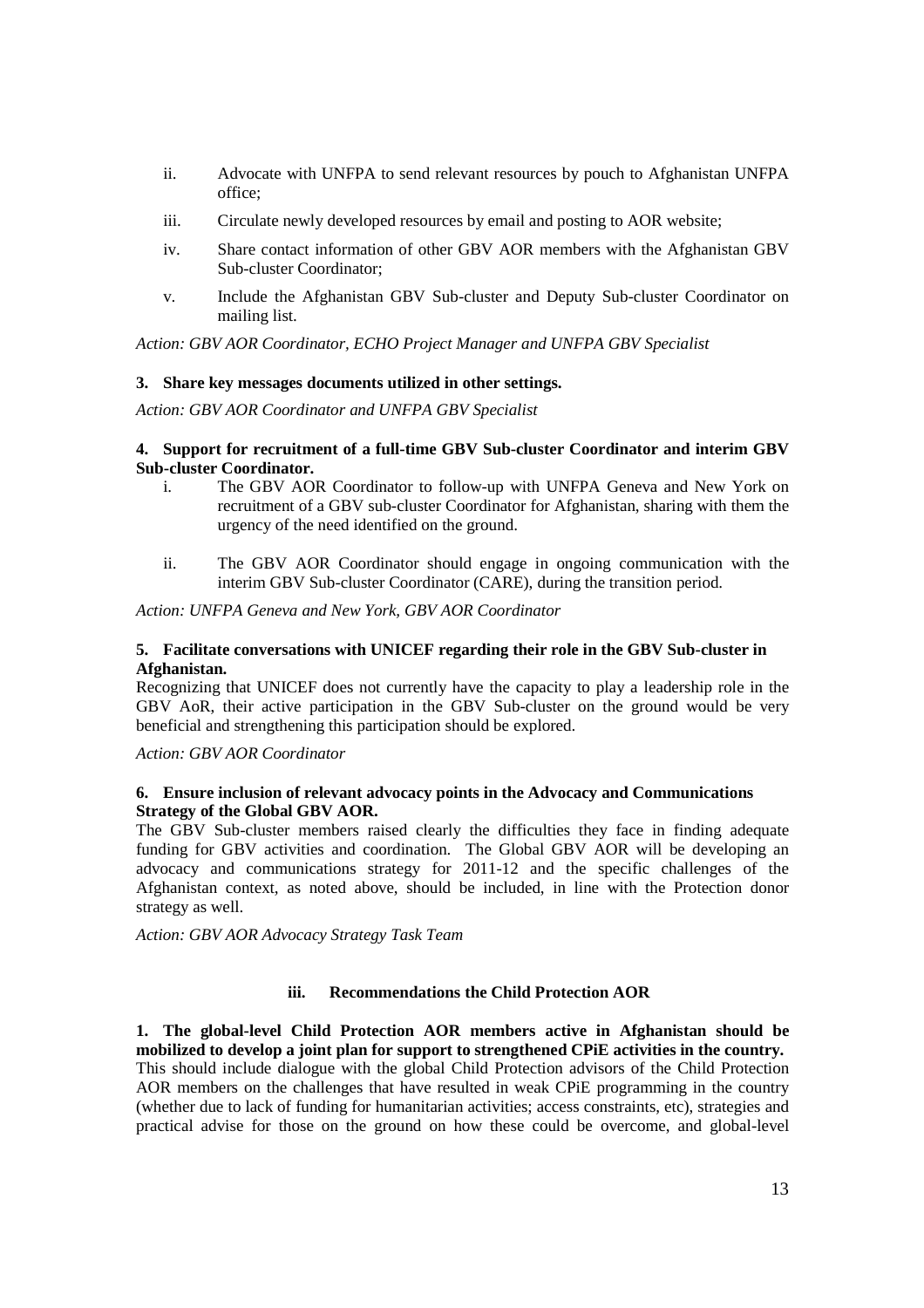- ii. Advocate with UNFPA to send relevant resources by pouch to Afghanistan UNFPA office;
- iii. Circulate newly developed resources by email and posting to AOR website;
- iv. Share contact information of other GBV AOR members with the Afghanistan GBV Sub-cluster Coordinator;
- v. Include the Afghanistan GBV Sub-cluster and Deputy Sub-cluster Coordinator on mailing list.

*Action: GBV AOR Coordinator, ECHO Project Manager and UNFPA GBV Specialist* 

## **3. Share key messages documents utilized in other settings.**

*Action: GBV AOR Coordinator and UNFPA GBV Specialist* 

## **4. Support for recruitment of a full-time GBV Sub-cluster Coordinator and interim GBV Sub-cluster Coordinator.**

- i. The GBV AOR Coordinator to follow-up with UNFPA Geneva and New York on recruitment of a GBV sub-cluster Coordinator for Afghanistan, sharing with them the urgency of the need identified on the ground.
- ii. The GBV AOR Coordinator should engage in ongoing communication with the interim GBV Sub-cluster Coordinator (CARE), during the transition period.

*Action: UNFPA Geneva and New York, GBV AOR Coordinator* 

## **5. Facilitate conversations with UNICEF regarding their role in the GBV Sub-cluster in Afghanistan.**

Recognizing that UNICEF does not currently have the capacity to play a leadership role in the GBV AoR, their active participation in the GBV Sub-cluster on the ground would be very beneficial and strengthening this participation should be explored.

*Action: GBV AOR Coordinator* 

## **6. Ensure inclusion of relevant advocacy points in the Advocacy and Communications Strategy of the Global GBV AOR.**

The GBV Sub-cluster members raised clearly the difficulties they face in finding adequate funding for GBV activities and coordination. The Global GBV AOR will be developing an advocacy and communications strategy for 2011-12 and the specific challenges of the Afghanistan context, as noted above, should be included, in line with the Protection donor strategy as well.

*Action: GBV AOR Advocacy Strategy Task Team* 

## **iii. Recommendations the Child Protection AOR**

**1. The global-level Child Protection AOR members active in Afghanistan should be mobilized to develop a joint plan for support to strengthened CPiE activities in the country.**  This should include dialogue with the global Child Protection advisors of the Child Protection AOR members on the challenges that have resulted in weak CPiE programming in the country (whether due to lack of funding for humanitarian activities; access constraints, etc), strategies and practical advise for those on the ground on how these could be overcome, and global-level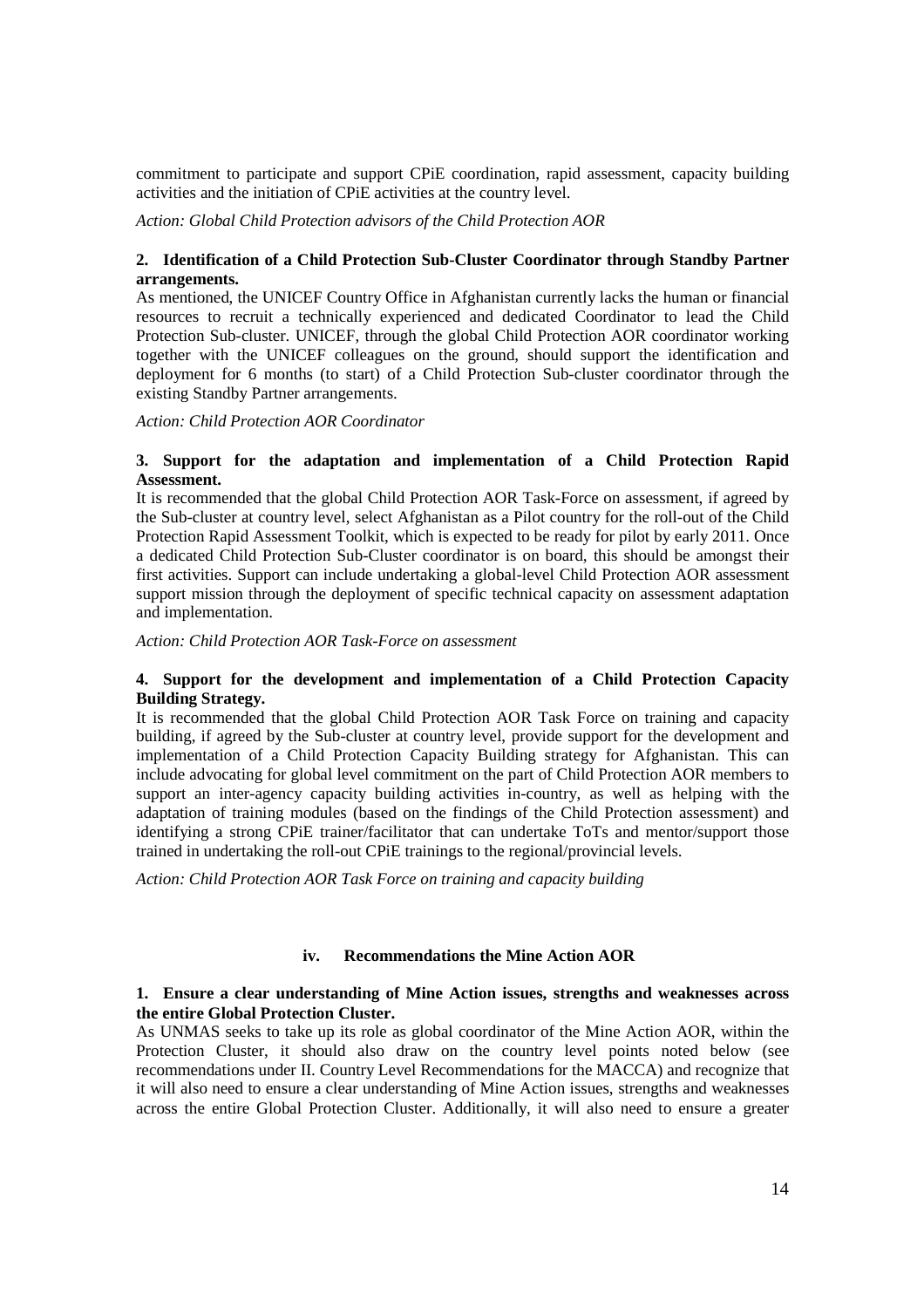commitment to participate and support CPiE coordination, rapid assessment, capacity building activities and the initiation of CPiE activities at the country level.

*Action: Global Child Protection advisors of the Child Protection AOR* 

# **2. Identification of a Child Protection Sub-Cluster Coordinator through Standby Partner arrangements.**

As mentioned, the UNICEF Country Office in Afghanistan currently lacks the human or financial resources to recruit a technically experienced and dedicated Coordinator to lead the Child Protection Sub-cluster. UNICEF, through the global Child Protection AOR coordinator working together with the UNICEF colleagues on the ground, should support the identification and deployment for 6 months (to start) of a Child Protection Sub-cluster coordinator through the existing Standby Partner arrangements.

*Action: Child Protection AOR Coordinator* 

## **3. Support for the adaptation and implementation of a Child Protection Rapid Assessment.**

It is recommended that the global Child Protection AOR Task-Force on assessment, if agreed by the Sub-cluster at country level, select Afghanistan as a Pilot country for the roll-out of the Child Protection Rapid Assessment Toolkit, which is expected to be ready for pilot by early 2011. Once a dedicated Child Protection Sub-Cluster coordinator is on board, this should be amongst their first activities. Support can include undertaking a global-level Child Protection AOR assessment support mission through the deployment of specific technical capacity on assessment adaptation and implementation.

*Action: Child Protection AOR Task-Force on assessment* 

## **4. Support for the development and implementation of a Child Protection Capacity Building Strategy.**

It is recommended that the global Child Protection AOR Task Force on training and capacity building, if agreed by the Sub-cluster at country level, provide support for the development and implementation of a Child Protection Capacity Building strategy for Afghanistan. This can include advocating for global level commitment on the part of Child Protection AOR members to support an inter-agency capacity building activities in-country, as well as helping with the adaptation of training modules (based on the findings of the Child Protection assessment) and identifying a strong CPiE trainer/facilitator that can undertake ToTs and mentor/support those trained in undertaking the roll-out CPiE trainings to the regional/provincial levels.

*Action: Child Protection AOR Task Force on training and capacity building* 

## **iv. Recommendations the Mine Action AOR**

## **1. Ensure a clear understanding of Mine Action issues, strengths and weaknesses across the entire Global Protection Cluster.**

As UNMAS seeks to take up its role as global coordinator of the Mine Action AOR, within the Protection Cluster, it should also draw on the country level points noted below (see recommendations under II. Country Level Recommendations for the MACCA) and recognize that it will also need to ensure a clear understanding of Mine Action issues, strengths and weaknesses across the entire Global Protection Cluster. Additionally, it will also need to ensure a greater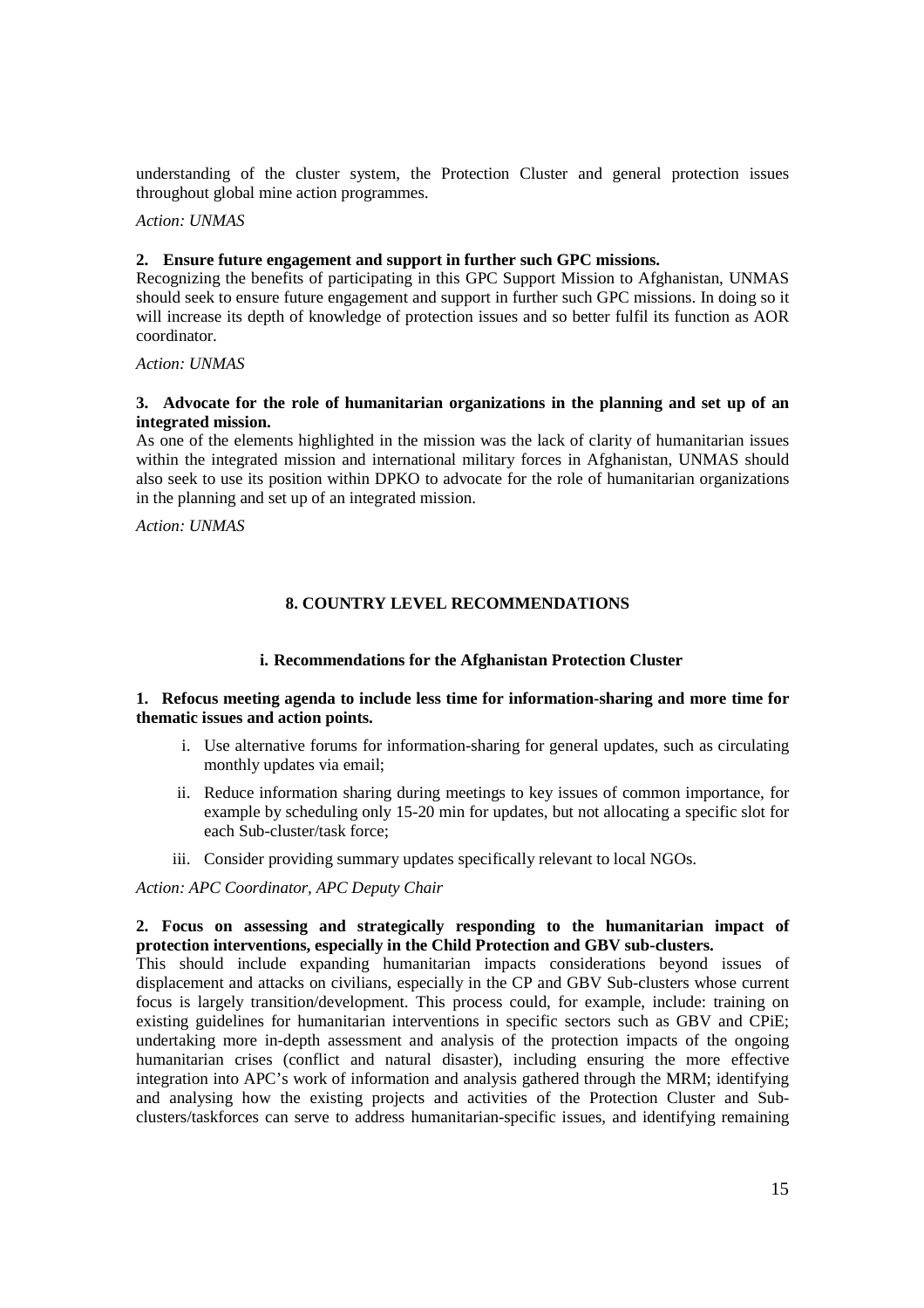understanding of the cluster system, the Protection Cluster and general protection issues throughout global mine action programmes.

*Action: UNMAS* 

### **2. Ensure future engagement and support in further such GPC missions.**

Recognizing the benefits of participating in this GPC Support Mission to Afghanistan, UNMAS should seek to ensure future engagement and support in further such GPC missions. In doing so it will increase its depth of knowledge of protection issues and so better fulfil its function as AOR coordinator.

*Action: UNMAS* 

### **3. Advocate for the role of humanitarian organizations in the planning and set up of an integrated mission.**

As one of the elements highlighted in the mission was the lack of clarity of humanitarian issues within the integrated mission and international military forces in Afghanistan, UNMAS should also seek to use its position within DPKO to advocate for the role of humanitarian organizations in the planning and set up of an integrated mission.

*Action: UNMAS* 

## **8. COUNTRY LEVEL RECOMMENDATIONS**

### **i. Recommendations for the Afghanistan Protection Cluster**

### **1. Refocus meeting agenda to include less time for information-sharing and more time for thematic issues and action points.**

- i. Use alternative forums for information-sharing for general updates, such as circulating monthly updates via email;
- ii. Reduce information sharing during meetings to key issues of common importance, for example by scheduling only 15-20 min for updates, but not allocating a specific slot for each Sub-cluster/task force;
- iii. Consider providing summary updates specifically relevant to local NGOs.

*Action: APC Coordinator, APC Deputy Chair* 

### **2. Focus on assessing and strategically responding to the humanitarian impact of protection interventions, especially in the Child Protection and GBV sub-clusters.**

This should include expanding humanitarian impacts considerations beyond issues of displacement and attacks on civilians, especially in the CP and GBV Sub-clusters whose current focus is largely transition/development. This process could, for example, include: training on existing guidelines for humanitarian interventions in specific sectors such as GBV and CPiE; undertaking more in-depth assessment and analysis of the protection impacts of the ongoing humanitarian crises (conflict and natural disaster), including ensuring the more effective integration into APC's work of information and analysis gathered through the MRM; identifying and analysing how the existing projects and activities of the Protection Cluster and Subclusters/taskforces can serve to address humanitarian-specific issues, and identifying remaining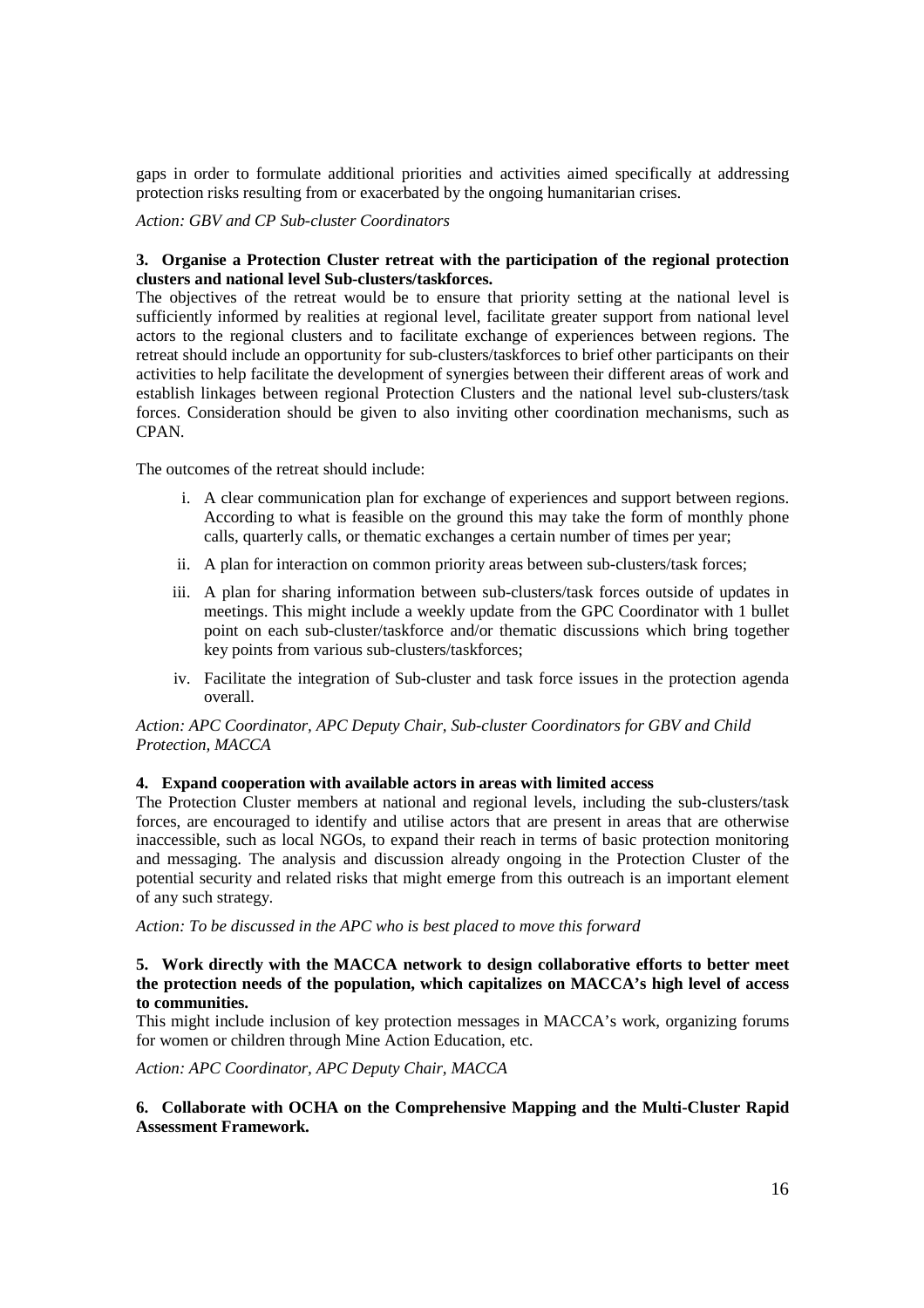gaps in order to formulate additional priorities and activities aimed specifically at addressing protection risks resulting from or exacerbated by the ongoing humanitarian crises.

*Action: GBV and CP Sub-cluster Coordinators* 

# **3. Organise a Protection Cluster retreat with the participation of the regional protection clusters and national level Sub-clusters/taskforces.**

The objectives of the retreat would be to ensure that priority setting at the national level is sufficiently informed by realities at regional level, facilitate greater support from national level actors to the regional clusters and to facilitate exchange of experiences between regions. The retreat should include an opportunity for sub-clusters/taskforces to brief other participants on their activities to help facilitate the development of synergies between their different areas of work and establish linkages between regional Protection Clusters and the national level sub-clusters/task forces. Consideration should be given to also inviting other coordination mechanisms, such as CPAN.

The outcomes of the retreat should include:

- i. A clear communication plan for exchange of experiences and support between regions. According to what is feasible on the ground this may take the form of monthly phone calls, quarterly calls, or thematic exchanges a certain number of times per year;
- ii. A plan for interaction on common priority areas between sub-clusters/task forces;
- iii. A plan for sharing information between sub-clusters/task forces outside of updates in meetings. This might include a weekly update from the GPC Coordinator with 1 bullet point on each sub-cluster/taskforce and/or thematic discussions which bring together key points from various sub-clusters/taskforces;
- iv. Facilitate the integration of Sub-cluster and task force issues in the protection agenda overall.

## *Action: APC Coordinator, APC Deputy Chair, Sub-cluster Coordinators for GBV and Child Protection, MACCA*

## **4. Expand cooperation with available actors in areas with limited access**

The Protection Cluster members at national and regional levels, including the sub-clusters/task forces, are encouraged to identify and utilise actors that are present in areas that are otherwise inaccessible, such as local NGOs, to expand their reach in terms of basic protection monitoring and messaging. The analysis and discussion already ongoing in the Protection Cluster of the potential security and related risks that might emerge from this outreach is an important element of any such strategy.

*Action: To be discussed in the APC who is best placed to move this forward* 

## **5. Work directly with the MACCA network to design collaborative efforts to better meet the protection needs of the population, which capitalizes on MACCA's high level of access to communities.**

This might include inclusion of key protection messages in MACCA's work, organizing forums for women or children through Mine Action Education, etc.

*Action: APC Coordinator, APC Deputy Chair, MACCA* 

## **6. Collaborate with OCHA on the Comprehensive Mapping and the Multi-Cluster Rapid Assessment Framework.**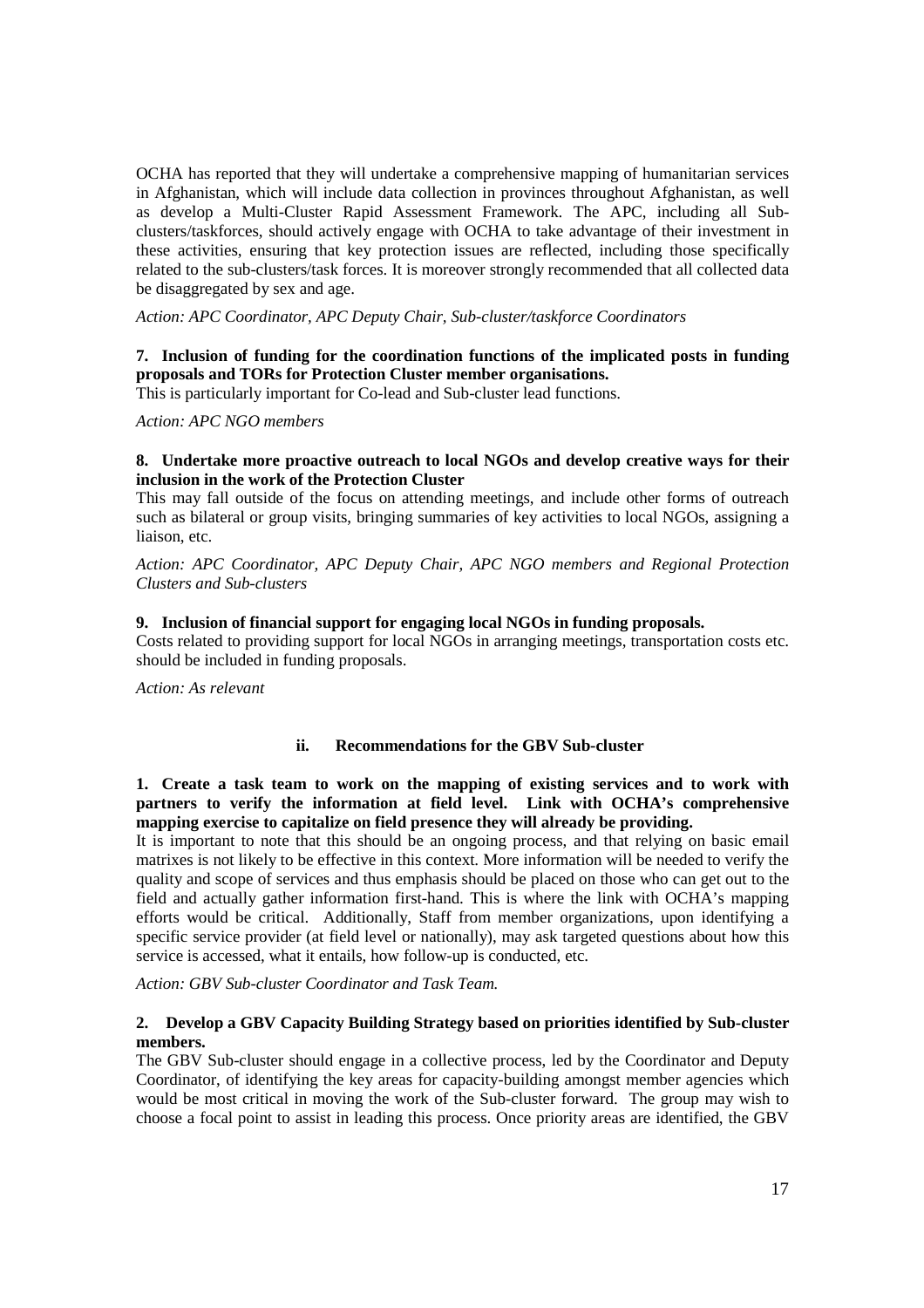OCHA has reported that they will undertake a comprehensive mapping of humanitarian services in Afghanistan, which will include data collection in provinces throughout Afghanistan, as well as develop a Multi-Cluster Rapid Assessment Framework. The APC, including all Subclusters/taskforces, should actively engage with OCHA to take advantage of their investment in these activities, ensuring that key protection issues are reflected, including those specifically related to the sub-clusters/task forces. It is moreover strongly recommended that all collected data be disaggregated by sex and age.

*Action: APC Coordinator, APC Deputy Chair, Sub-cluster/taskforce Coordinators* 

## **7. Inclusion of funding for the coordination functions of the implicated posts in funding proposals and TORs for Protection Cluster member organisations.**

This is particularly important for Co-lead and Sub-cluster lead functions.

*Action: APC NGO members* 

### **8. Undertake more proactive outreach to local NGOs and develop creative ways for their inclusion in the work of the Protection Cluster**

This may fall outside of the focus on attending meetings, and include other forms of outreach such as bilateral or group visits, bringing summaries of key activities to local NGOs, assigning a liaison, etc.

*Action: APC Coordinator, APC Deputy Chair, APC NGO members and Regional Protection Clusters and Sub-clusters* 

## **9. Inclusion of financial support for engaging local NGOs in funding proposals.**

Costs related to providing support for local NGOs in arranging meetings, transportation costs etc. should be included in funding proposals.

*Action: As relevant*

## **ii. Recommendations for the GBV Sub-cluster**

## **1. Create a task team to work on the mapping of existing services and to work with partners to verify the information at field level. Link with OCHA's comprehensive mapping exercise to capitalize on field presence they will already be providing.**

It is important to note that this should be an ongoing process, and that relying on basic email matrixes is not likely to be effective in this context. More information will be needed to verify the quality and scope of services and thus emphasis should be placed on those who can get out to the field and actually gather information first-hand. This is where the link with OCHA's mapping efforts would be critical. Additionally, Staff from member organizations, upon identifying a specific service provider (at field level or nationally), may ask targeted questions about how this service is accessed, what it entails, how follow-up is conducted, etc.

*Action: GBV Sub-cluster Coordinator and Task Team.* 

## **2. Develop a GBV Capacity Building Strategy based on priorities identified by Sub-cluster members.**

The GBV Sub-cluster should engage in a collective process, led by the Coordinator and Deputy Coordinator, of identifying the key areas for capacity-building amongst member agencies which would be most critical in moving the work of the Sub-cluster forward. The group may wish to choose a focal point to assist in leading this process. Once priority areas are identified, the GBV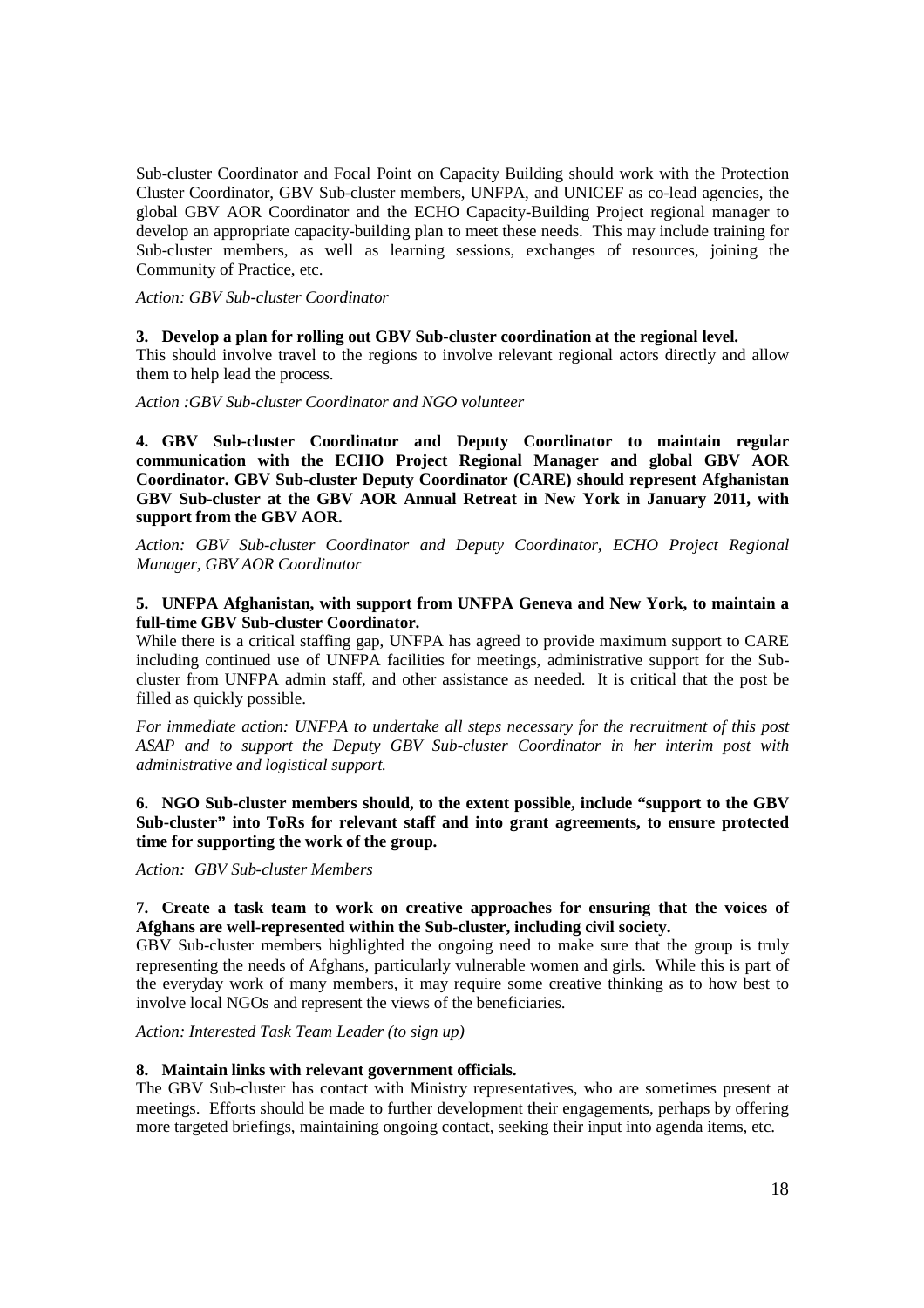Sub-cluster Coordinator and Focal Point on Capacity Building should work with the Protection Cluster Coordinator, GBV Sub-cluster members, UNFPA, and UNICEF as co-lead agencies, the global GBV AOR Coordinator and the ECHO Capacity-Building Project regional manager to develop an appropriate capacity-building plan to meet these needs. This may include training for Sub-cluster members, as well as learning sessions, exchanges of resources, joining the Community of Practice, etc.

*Action: GBV Sub-cluster Coordinator* 

### **3. Develop a plan for rolling out GBV Sub-cluster coordination at the regional level.**

This should involve travel to the regions to involve relevant regional actors directly and allow them to help lead the process.

*Action :GBV Sub-cluster Coordinator and NGO volunteer* 

**4. GBV Sub-cluster Coordinator and Deputy Coordinator to maintain regular communication with the ECHO Project Regional Manager and global GBV AOR Coordinator. GBV Sub-cluster Deputy Coordinator (CARE) should represent Afghanistan GBV Sub-cluster at the GBV AOR Annual Retreat in New York in January 2011, with support from the GBV AOR.** 

*Action: GBV Sub-cluster Coordinator and Deputy Coordinator, ECHO Project Regional Manager, GBV AOR Coordinator* 

## **5. UNFPA Afghanistan, with support from UNFPA Geneva and New York, to maintain a full-time GBV Sub-cluster Coordinator.**

While there is a critical staffing gap, UNFPA has agreed to provide maximum support to CARE including continued use of UNFPA facilities for meetings, administrative support for the Subcluster from UNFPA admin staff*,* and other assistance as needed. It is critical that the post be filled as quickly possible.

*For immediate action: UNFPA to undertake all steps necessary for the recruitment of this post ASAP and to support the Deputy GBV Sub-cluster Coordinator in her interim post with administrative and logistical support.* 

**6. NGO Sub-cluster members should, to the extent possible, include "support to the GBV Sub-cluster" into ToRs for relevant staff and into grant agreements, to ensure protected time for supporting the work of the group.** 

*Action: GBV Sub-cluster Members* 

# **7. Create a task team to work on creative approaches for ensuring that the voices of Afghans are well-represented within the Sub-cluster, including civil society.**

GBV Sub-cluster members highlighted the ongoing need to make sure that the group is truly representing the needs of Afghans, particularly vulnerable women and girls. While this is part of the everyday work of many members, it may require some creative thinking as to how best to involve local NGOs and represent the views of the beneficiaries.

*Action: Interested Task Team Leader (to sign up)* 

### **8. Maintain links with relevant government officials.**

The GBV Sub-cluster has contact with Ministry representatives, who are sometimes present at meetings. Efforts should be made to further development their engagements, perhaps by offering more targeted briefings, maintaining ongoing contact, seeking their input into agenda items, etc.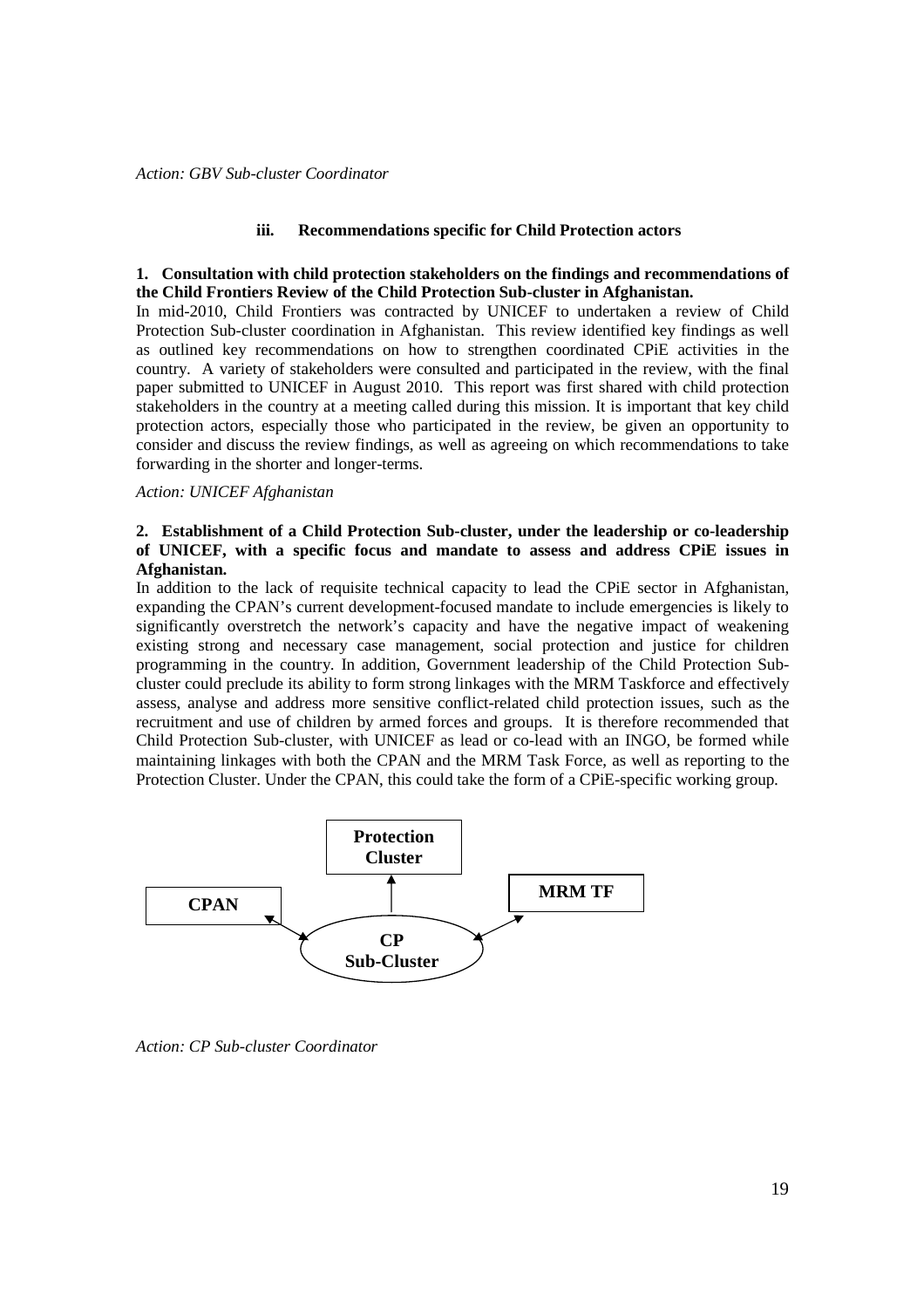#### **iii. Recommendations specific for Child Protection actors**

#### **1. Consultation with child protection stakeholders on the findings and recommendations of the Child Frontiers Review of the Child Protection Sub-cluster in Afghanistan.**

In mid-2010, Child Frontiers was contracted by UNICEF to undertaken a review of Child Protection Sub-cluster coordination in Afghanistan. This review identified key findings as well as outlined key recommendations on how to strengthen coordinated CPiE activities in the country. A variety of stakeholders were consulted and participated in the review, with the final paper submitted to UNICEF in August 2010. This report was first shared with child protection stakeholders in the country at a meeting called during this mission. It is important that key child protection actors, especially those who participated in the review, be given an opportunity to consider and discuss the review findings, as well as agreeing on which recommendations to take forwarding in the shorter and longer-terms.

### *Action: UNICEF Afghanistan*

## **2. Establishment of a Child Protection Sub-cluster, under the leadership or co-leadership of UNICEF, with a specific focus and mandate to assess and address CPiE issues in Afghanistan.**

In addition to the lack of requisite technical capacity to lead the CPiE sector in Afghanistan, expanding the CPAN's current development-focused mandate to include emergencies is likely to significantly overstretch the network's capacity and have the negative impact of weakening existing strong and necessary case management, social protection and justice for children programming in the country. In addition, Government leadership of the Child Protection Subcluster could preclude its ability to form strong linkages with the MRM Taskforce and effectively assess, analyse and address more sensitive conflict-related child protection issues, such as the recruitment and use of children by armed forces and groups. It is therefore recommended that Child Protection Sub-cluster, with UNICEF as lead or co-lead with an INGO, be formed while maintaining linkages with both the CPAN and the MRM Task Force, as well as reporting to the Protection Cluster. Under the CPAN, this could take the form of a CPiE-specific working group.



*Action: CP Sub-cluster Coordinator*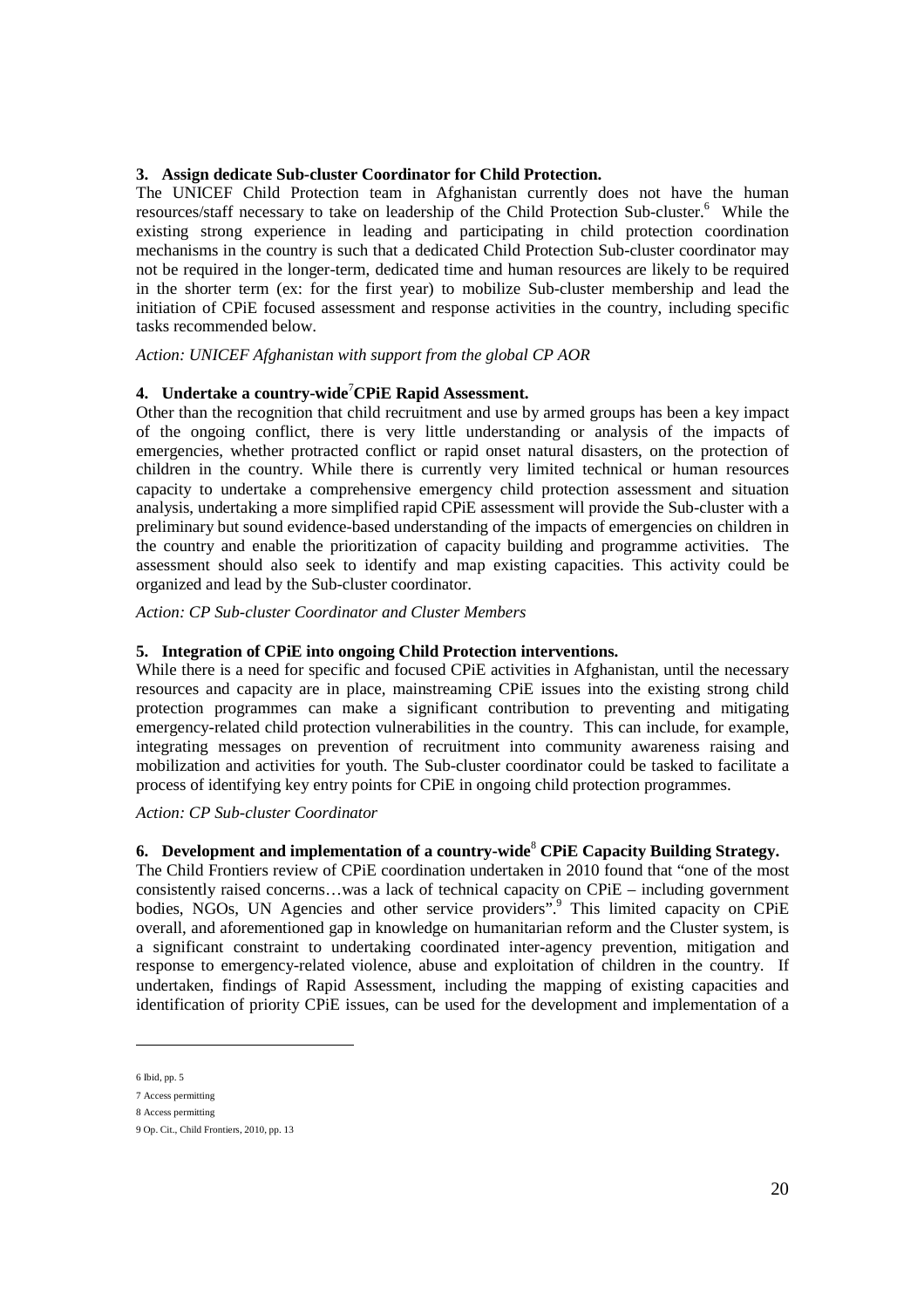### **3. Assign dedicate Sub-cluster Coordinator for Child Protection.**

The UNICEF Child Protection team in Afghanistan currently does not have the human resources/staff necessary to take on leadership of the Child Protection Sub-cluster.<sup>6</sup> While the existing strong experience in leading and participating in child protection coordination mechanisms in the country is such that a dedicated Child Protection Sub-cluster coordinator may not be required in the longer-term, dedicated time and human resources are likely to be required in the shorter term (ex: for the first year) to mobilize Sub-cluster membership and lead the initiation of CPiE focused assessment and response activities in the country, including specific tasks recommended below.

## *Action: UNICEF Afghanistan with support from the global CP AOR*

## **4. Undertake a country-wide**<sup>7</sup>**CPiE Rapid Assessment.**

Other than the recognition that child recruitment and use by armed groups has been a key impact of the ongoing conflict, there is very little understanding or analysis of the impacts of emergencies, whether protracted conflict or rapid onset natural disasters, on the protection of children in the country. While there is currently very limited technical or human resources capacity to undertake a comprehensive emergency child protection assessment and situation analysis, undertaking a more simplified rapid CPiE assessment will provide the Sub-cluster with a preliminary but sound evidence-based understanding of the impacts of emergencies on children in the country and enable the prioritization of capacity building and programme activities. The assessment should also seek to identify and map existing capacities. This activity could be organized and lead by the Sub-cluster coordinator.

*Action: CP Sub-cluster Coordinator and Cluster Members* 

#### **5. Integration of CPiE into ongoing Child Protection interventions.**

While there is a need for specific and focused CPiE activities in Afghanistan, until the necessary resources and capacity are in place, mainstreaming CPiE issues into the existing strong child protection programmes can make a significant contribution to preventing and mitigating emergency-related child protection vulnerabilities in the country. This can include, for example, integrating messages on prevention of recruitment into community awareness raising and mobilization and activities for youth. The Sub-cluster coordinator could be tasked to facilitate a process of identifying key entry points for CPiE in ongoing child protection programmes.

# *Action: CP Sub-cluster Coordinator*

# **6. Development and implementation of a country-wide**<sup>8</sup>  **CPiE Capacity Building Strategy.**

The Child Frontiers review of CPiE coordination undertaken in 2010 found that "one of the most consistently raised concerns…was a lack of technical capacity on CPiE – including government bodies, NGOs, UN Agencies and other service providers".<sup>9</sup> This limited capacity on CPiE overall, and aforementioned gap in knowledge on humanitarian reform and the Cluster system, is a significant constraint to undertaking coordinated inter-agency prevention, mitigation and response to emergency-related violence, abuse and exploitation of children in the country. If undertaken, findings of Rapid Assessment, including the mapping of existing capacities and identification of priority CPiE issues, can be used for the development and implementation of a

-

<sup>6</sup> Ibid, pp. 5

<sup>7</sup> Access permitting

<sup>8</sup> Access permitting

<sup>9</sup> Op. Cit., Child Frontiers, 2010, pp. 13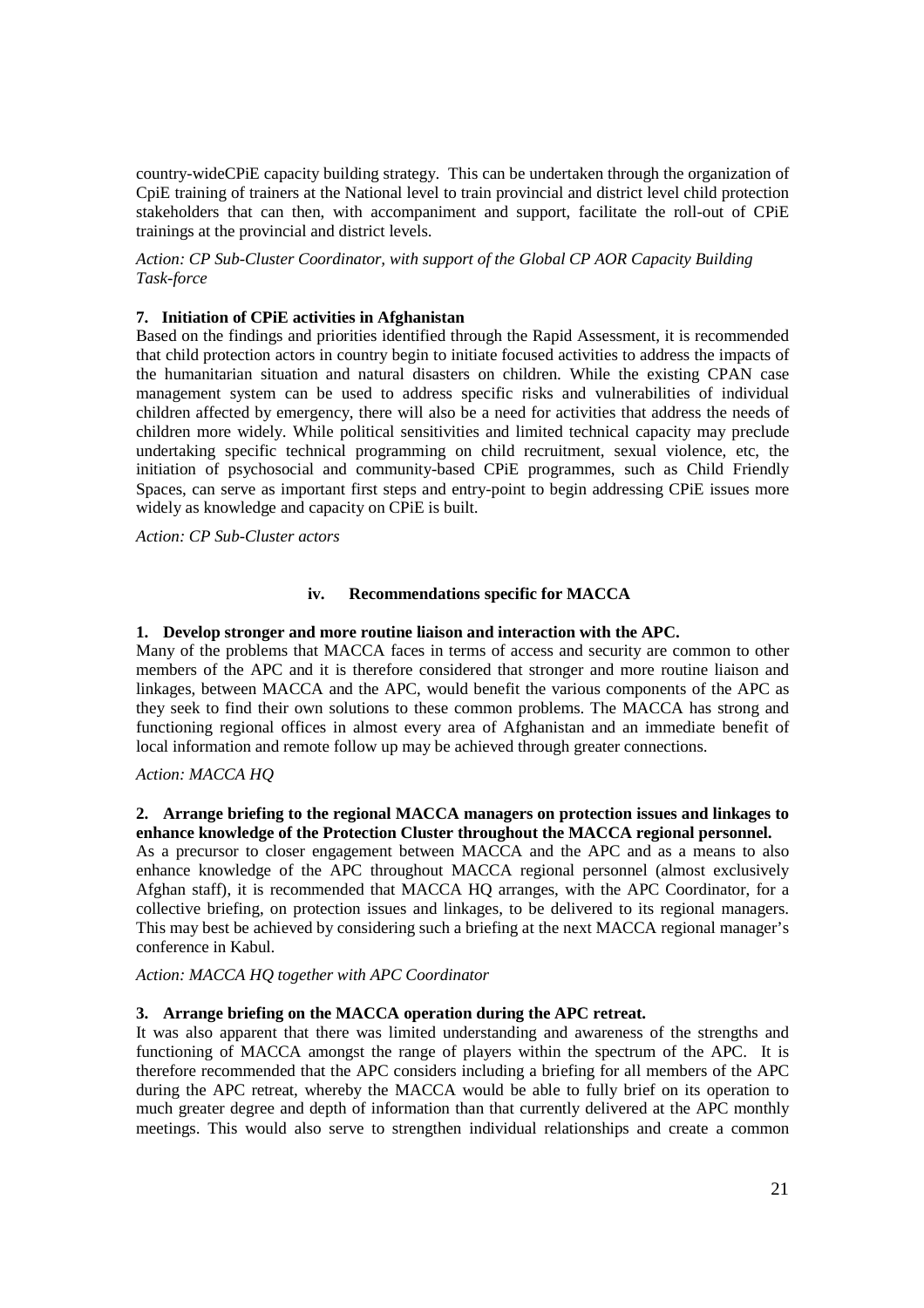country-wideCPiE capacity building strategy. This can be undertaken through the organization of CpiE training of trainers at the National level to train provincial and district level child protection stakeholders that can then, with accompaniment and support, facilitate the roll-out of CPiE trainings at the provincial and district levels.

*Action: CP Sub-Cluster Coordinator, with support of the Global CP AOR Capacity Building Task-force* 

## **7. Initiation of CPiE activities in Afghanistan**

Based on the findings and priorities identified through the Rapid Assessment, it is recommended that child protection actors in country begin to initiate focused activities to address the impacts of the humanitarian situation and natural disasters on children. While the existing CPAN case management system can be used to address specific risks and vulnerabilities of individual children affected by emergency, there will also be a need for activities that address the needs of children more widely. While political sensitivities and limited technical capacity may preclude undertaking specific technical programming on child recruitment, sexual violence, etc, the initiation of psychosocial and community-based CPiE programmes, such as Child Friendly Spaces, can serve as important first steps and entry-point to begin addressing CPiE issues more widely as knowledge and capacity on CPiE is built.

*Action: CP Sub-Cluster actors*

### **iv. Recommendations specific for MACCA**

### **1. Develop stronger and more routine liaison and interaction with the APC.**

Many of the problems that MACCA faces in terms of access and security are common to other members of the APC and it is therefore considered that stronger and more routine liaison and linkages, between MACCA and the APC, would benefit the various components of the APC as they seek to find their own solutions to these common problems. The MACCA has strong and functioning regional offices in almost every area of Afghanistan and an immediate benefit of local information and remote follow up may be achieved through greater connections.

## *Action: MACCA HQ*

## **2. Arrange briefing to the regional MACCA managers on protection issues and linkages to enhance knowledge of the Protection Cluster throughout the MACCA regional personnel.**

As a precursor to closer engagement between MACCA and the APC and as a means to also enhance knowledge of the APC throughout MACCA regional personnel (almost exclusively Afghan staff), it is recommended that MACCA HQ arranges, with the APC Coordinator, for a collective briefing, on protection issues and linkages, to be delivered to its regional managers. This may best be achieved by considering such a briefing at the next MACCA regional manager's conference in Kabul.

*Action: MACCA HQ together with APC Coordinator* 

## **3. Arrange briefing on the MACCA operation during the APC retreat.**

It was also apparent that there was limited understanding and awareness of the strengths and functioning of MACCA amongst the range of players within the spectrum of the APC. It is therefore recommended that the APC considers including a briefing for all members of the APC during the APC retreat, whereby the MACCA would be able to fully brief on its operation to much greater degree and depth of information than that currently delivered at the APC monthly meetings. This would also serve to strengthen individual relationships and create a common